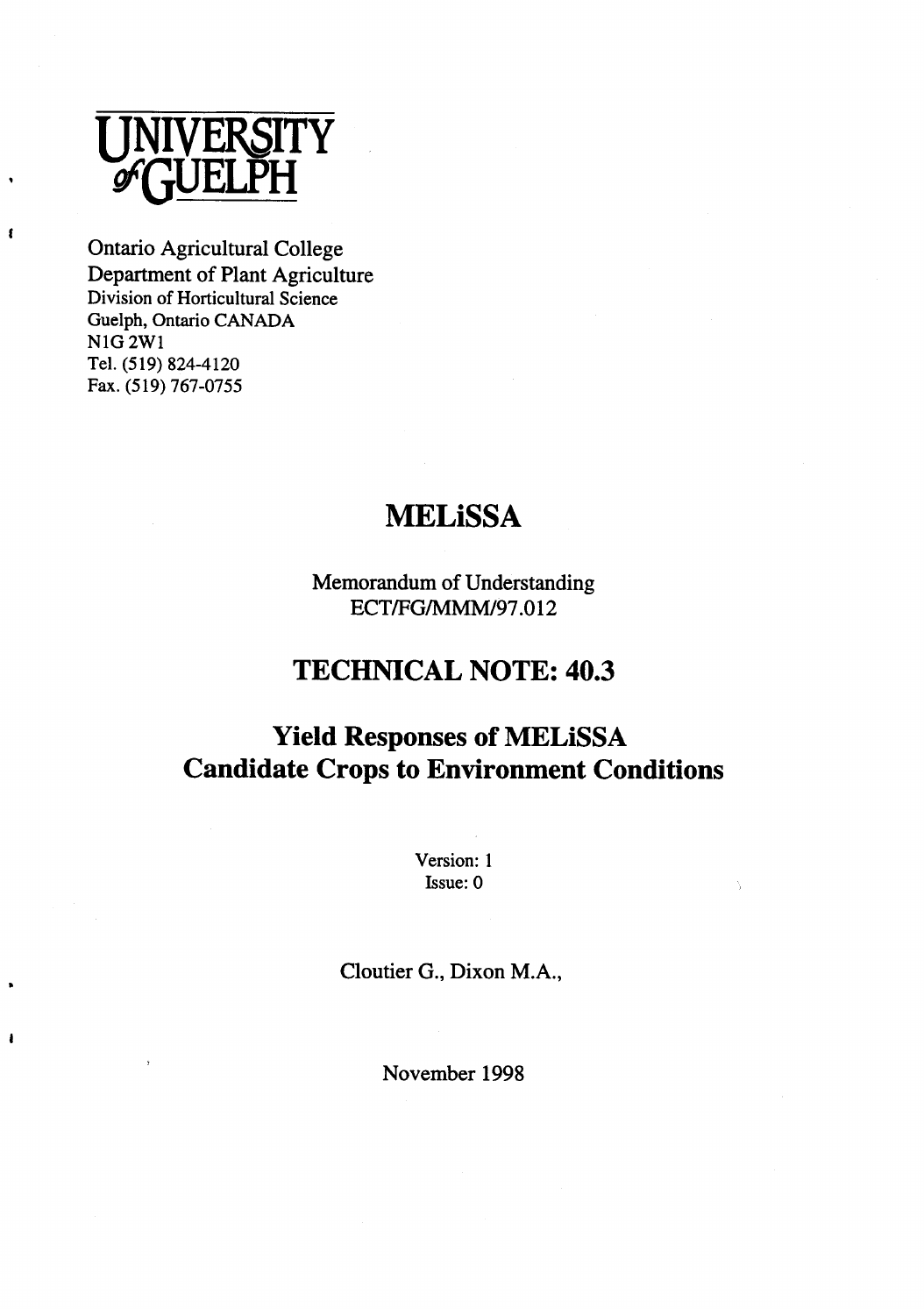

t

NIG 2WI<br>T Tel. (519) 824-4120 Fax. (519) 767-0755 Ontario Agricultural College Department of Plant Agriculture Division of Horticultural Science Guelph, Ontario CANADA

# **MELiSSA**

ECT/FG/MMM/97.012 Memorandum of Understanding

# **TECHNICAL NOTE: 40.3**

# **MELiSSA Yield Responses of Candidate Crops to Environment Conditions**

Version: 1 Issue: 0

Cloutier G., Dixon M.A.,

November 1998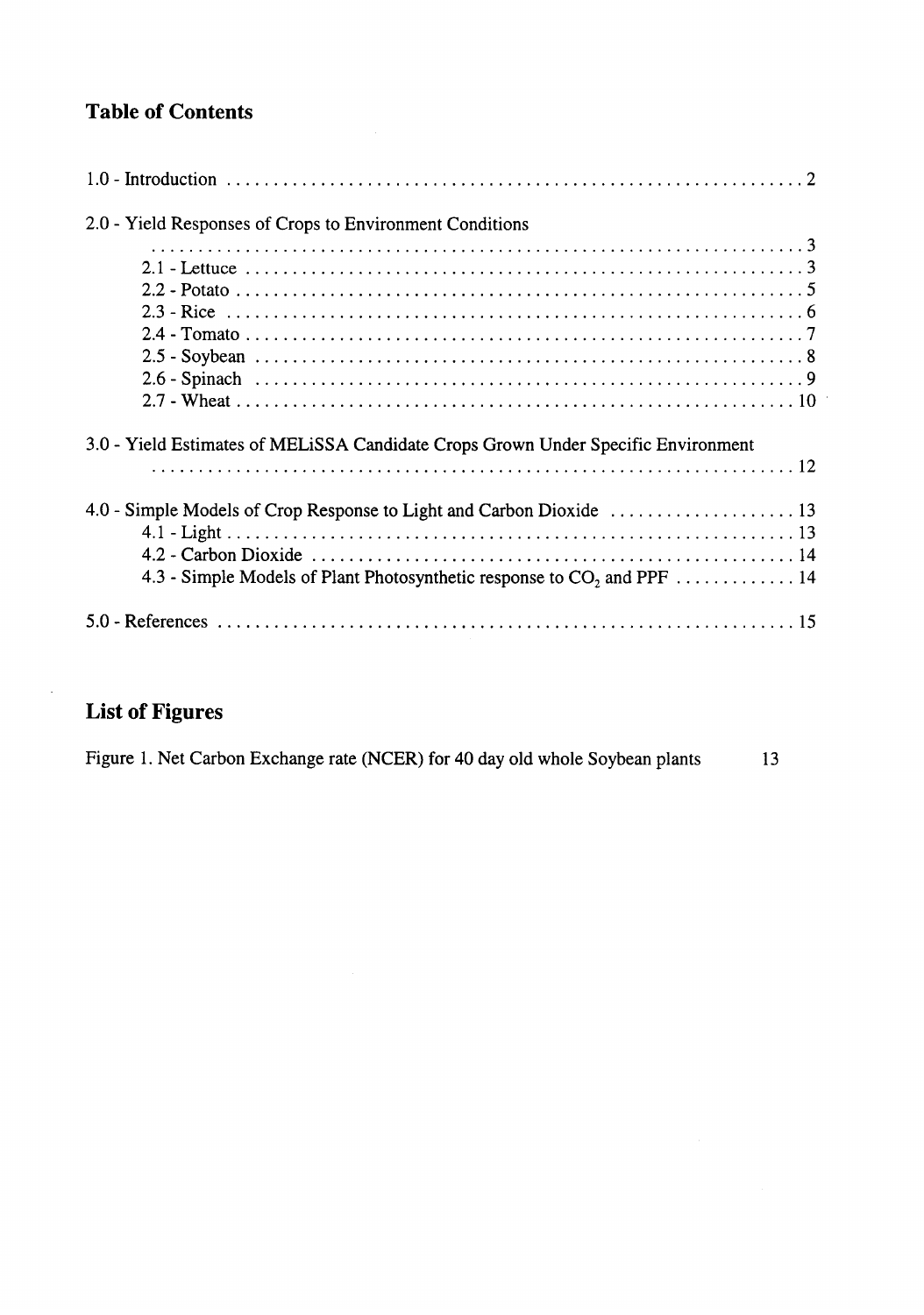# **Table of Contents**

| 2.0 - Yield Responses of Crops to Environment Conditions                           |
|------------------------------------------------------------------------------------|
|                                                                                    |
|                                                                                    |
|                                                                                    |
|                                                                                    |
|                                                                                    |
|                                                                                    |
|                                                                                    |
|                                                                                    |
| 3.0 - Yield Estimates of MELISSA Candidate Crops Grown Under Specific Environment  |
|                                                                                    |
|                                                                                    |
|                                                                                    |
|                                                                                    |
| 4.3 - Simple Models of Plant Photosynthetic response to CO <sub>2</sub> and PPF 14 |
|                                                                                    |

 $\bar{z}$ 

# **List of Figures**

 $\bar{\mathcal{A}}$ 

| Figure 1. Net Carbon Exchange rate (NCER) for 40 day old whole Soybean plants |  |  | 13 |
|-------------------------------------------------------------------------------|--|--|----|
|-------------------------------------------------------------------------------|--|--|----|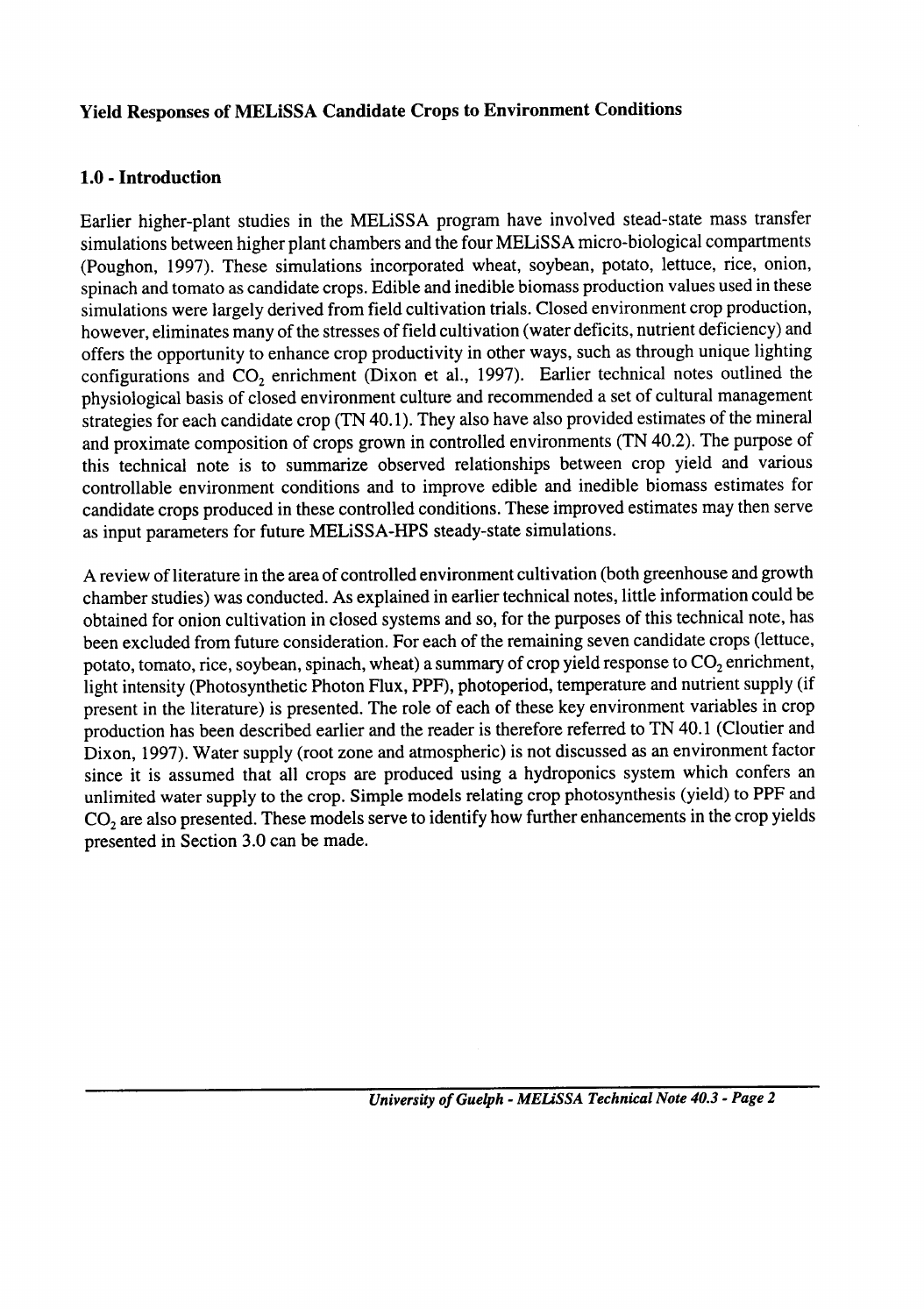### **Yield Responses of MELiSSA Candidate Crops to Environment Conditions**

### **- Introduction 1.0**

as input parameters for future MELiSSA-HPS steady-state simulations. his technical note is to summarize observed relationships between crop yield and v controllable environment conditions and to improve edible and inedible biomass estimates for candidate crops produced in these controlled conditions. These improved estimates may then serve Earlier higher-plant studies in the MELiSSA program have involved stead-state mass transfer simulations between higher plant chambers and the four MELiSSA micro-biological compartments (Poughon, 1997). These simulations incorporated wheat, soybean, potato, lettuce, rice, onion, spinach and tomato as candidate crops. Edible and inedible biomass production values used in these simulations were largely derived from field cultivation trials. Closed environment crop production, however, eliminates many of the stresses of field cultivation (water deficits, nutrient deficiency) and offers the opportunity to enhance crop productivity in other ways, such as through unique lighting configurations and CO, enrichment (Dixon et al., 1997). Earlier technical notes outlined the physiological basis of closed environment culture and recommended a set of cultural management strategies for each candidate crop (TN 40.1). They also have also provided estimates of the mineral and proximate composition of crops grown in controlled environments (TN 40.2). The purpose of

A review of literature in the area of controlled environment cultivation (both greenhouse and growth chamber studies) was conducted. As explained in earlier technical notes, little information could be obtained for onion cultivation in closed systems and so, for the purposes of this technical note, has been excluded from future consideration. For each of the remaining seven candidate crops (lettuce, potato, tomato, rice, soybean, spinach, wheat) a summary of crop yield response to  $CO<sub>2</sub>$  enrichment, light intensity (Photosynthetic Photon Flux, PPF), photoperiod, temperature and nutrient supply (if present in the literature) is presented. The role of each of these key environment variables in crop production has been described earlier and the reader is therefore referred to TN 40.1 (Cloutier and Dixon, 1997). Water supply (root zone and atmospheric) is not discussed as an environment factor since it is assumed that all crops are produced using a hydroponics system which confers an unlimited water supply to the crop. Simple models relating crop photosynthesis (yield) to PPF and CO, are also presented. These models serve to identify how further enhancements in the crop yields presented in Section 3.0 can be made.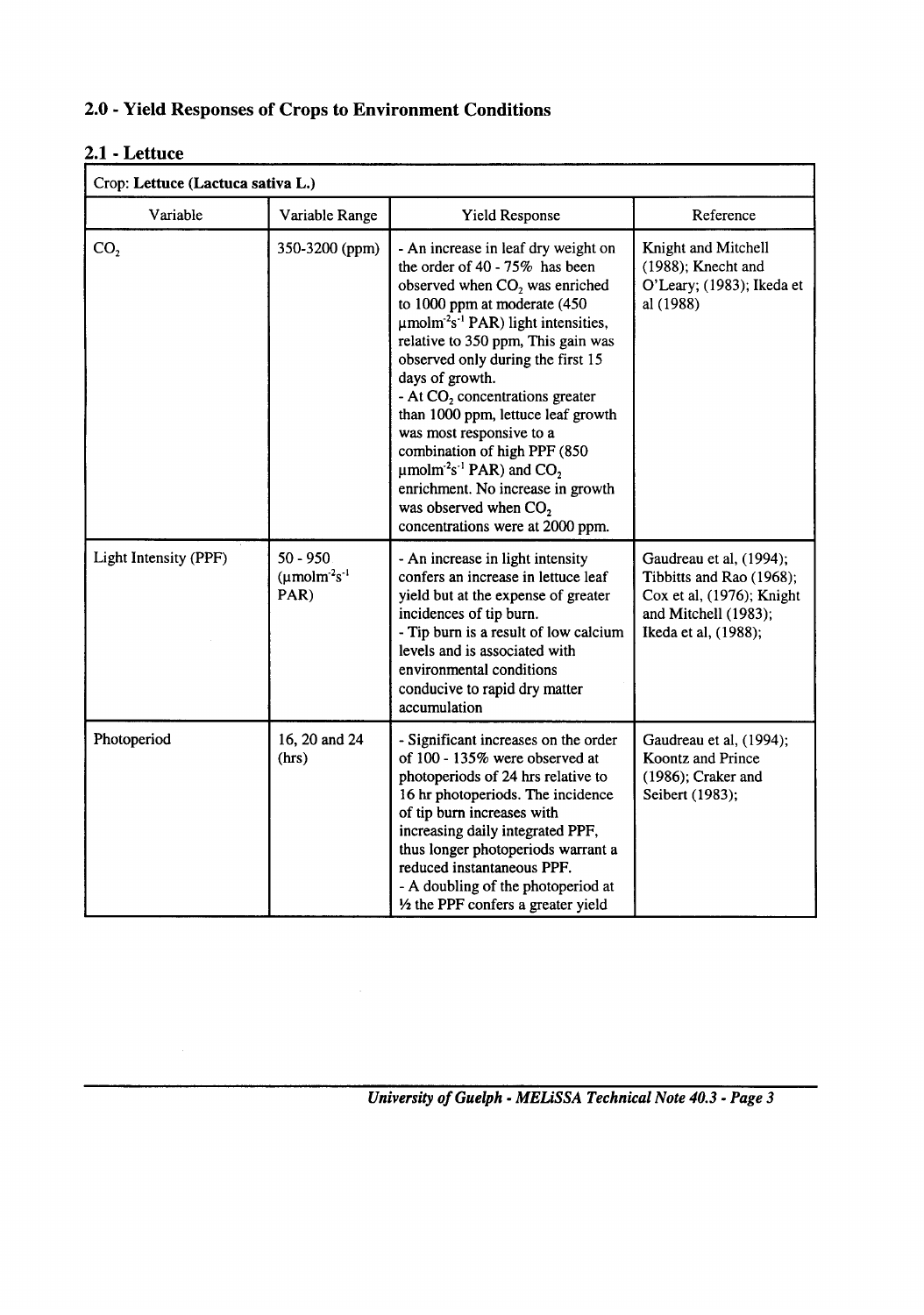### **- Yield Responses of Crops to Environment Conditions 2.0**

# **- Lettuce #.l 2**

| Crop: Lettuce (Lactuca sativa L.) |                                                                   |                                                                                                                                                                                                                                                                                                                                                                                                                                                                                                                                                                                                                                       |                                                                                                                                  |
|-----------------------------------|-------------------------------------------------------------------|---------------------------------------------------------------------------------------------------------------------------------------------------------------------------------------------------------------------------------------------------------------------------------------------------------------------------------------------------------------------------------------------------------------------------------------------------------------------------------------------------------------------------------------------------------------------------------------------------------------------------------------|----------------------------------------------------------------------------------------------------------------------------------|
| Variable                          | Variable Range                                                    | Yield Response                                                                                                                                                                                                                                                                                                                                                                                                                                                                                                                                                                                                                        | Reference                                                                                                                        |
| CO <sub>2</sub>                   | 350-3200 (ppm)                                                    | - An increase in leaf dry weight on<br>the order of 40 - 75% has been<br>observed when $CO2$ was enriched<br>to 1000 ppm at moderate (450<br>$\mu$ molm <sup>-2</sup> s <sup>-1</sup> PAR) light intensities,<br>relative to 350 ppm, This gain was<br>observed only during the first 15<br>days of growth.<br>- At $CO2$ concentrations greater<br>than 1000 ppm, lettuce leaf growth<br>was most responsive to a<br>combination of high PPF (850<br>$\mu$ molm <sup>-2</sup> s <sup>-1</sup> PAR) and CO <sub>2</sub><br>enrichment. No increase in growth<br>was observed when CO <sub>2</sub><br>concentrations were at 2000 ppm. | Knight and Mitchell<br>$(1988)$ ; Knecht and<br>O'Leary; (1983); Ikeda et<br>al (1988)                                           |
| Light Intensity (PPF)             | $50 - 950$<br>$(\mu \text{mol} \text{m}^2 \text{s}^{-1})$<br>PAR) | - An increase in light intensity<br>confers an increase in lettuce leaf<br>yield but at the expense of greater<br>incidences of tip burn.<br>- Tip burn is a result of low calcium<br>levels and is associated with<br>environmental conditions<br>conducive to rapid dry matter<br>accumulation                                                                                                                                                                                                                                                                                                                                      | Gaudreau et al, (1994);<br>Tibbitts and Rao (1968);<br>Cox et al, (1976); Knight<br>and Mitchell (1983);<br>Ikeda et al, (1988); |
| Photoperiod                       | 16, 20 and 24<br>(hrs)                                            | - Significant increases on the order<br>of 100 - 135% were observed at<br>photoperiods of 24 hrs relative to<br>16 hr photoperiods. The incidence<br>of tip burn increases with<br>increasing daily integrated PPF,<br>thus longer photoperiods warrant a<br>reduced instantaneous PPF.<br>- A doubling of the photoperiod at<br>1/2 the PPF confers a greater yield                                                                                                                                                                                                                                                                  | Gaudreau et al, (1994);<br>Koontz and Prince<br>$(1986)$ ; Craker and<br>Seibert (1983);                                         |

*- MELiSSA Technical Note 40.3 - Page 3 University of Guelph*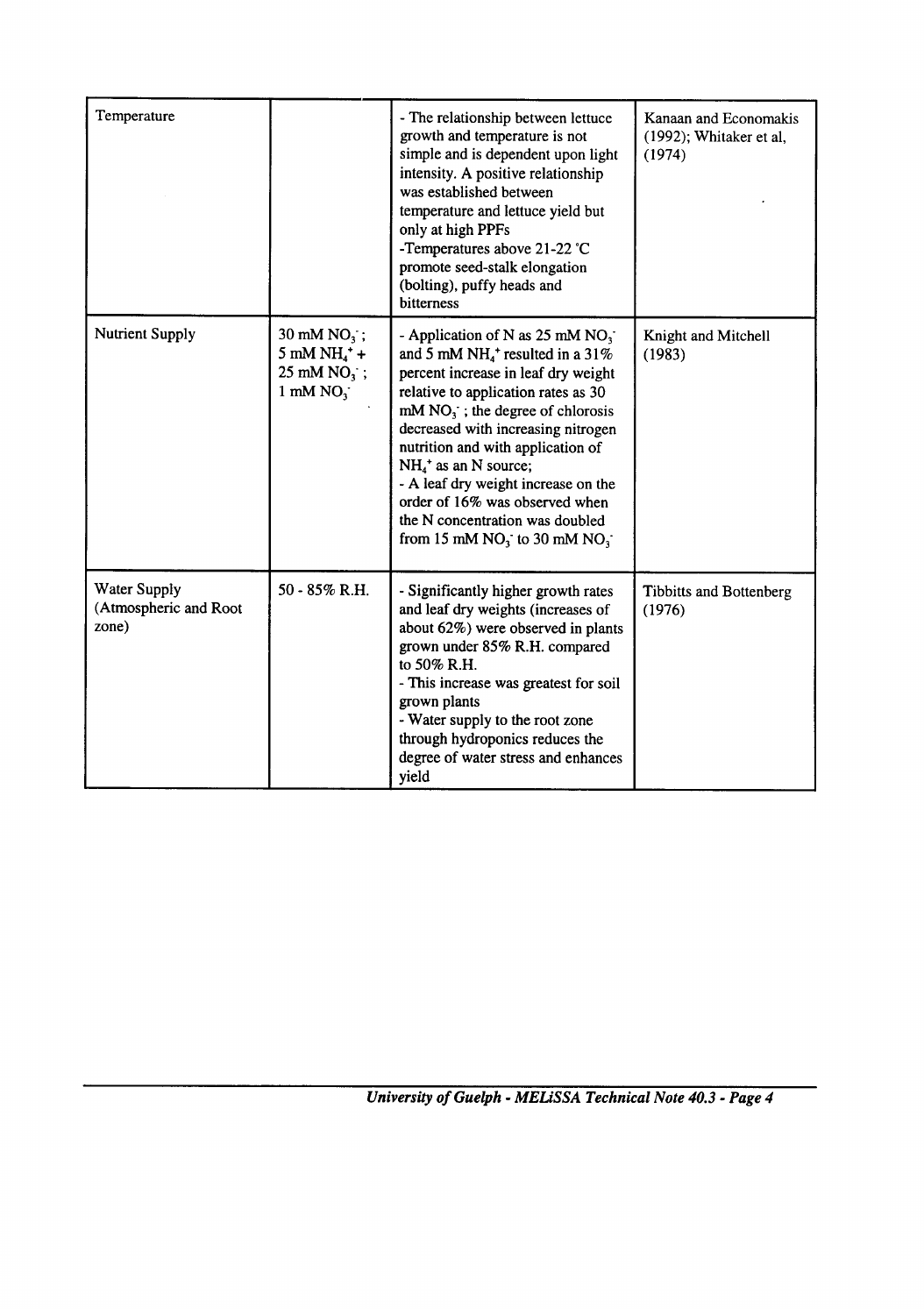| Temperature                                    |                                                                                           | - The relationship between lettuce<br>growth and temperature is not<br>simple and is dependent upon light<br>intensity. A positive relationship<br>was established between<br>temperature and lettuce yield but<br>only at high PPFs<br>-Temperatures above 21-22 °C<br>promote seed-stalk elongation<br>(bolting), puffy heads and<br>bitterness                                                                                                                         | Kanaan and Economakis<br>(1992); Whitaker et al,<br>(1974) |
|------------------------------------------------|-------------------------------------------------------------------------------------------|---------------------------------------------------------------------------------------------------------------------------------------------------------------------------------------------------------------------------------------------------------------------------------------------------------------------------------------------------------------------------------------------------------------------------------------------------------------------------|------------------------------------------------------------|
| <b>Nutrient Supply</b>                         | 30 mM NO <sub>3</sub> ;<br>$5$ mM NH $^{+}_{4}$ +<br>$25 \text{ mM NO}_3$ ;<br>1 mM $NO3$ | - Application of N as 25 mM $NO_3$ .<br>and 5 mM NH <sub>4</sub> <sup>+</sup> resulted in a 31%<br>percent increase in leaf dry weight<br>relative to application rates as 30<br>$mM NO3$ ; the degree of chlorosis<br>decreased with increasing nitrogen<br>nutrition and with application of<br>$NH4+$ as an N source;<br>- A leaf dry weight increase on the<br>order of 16% was observed when<br>the N concentration was doubled<br>from 15 mM $NO_3$ to 30 mM $NO_3$ | Knight and Mitchell<br>(1983)                              |
| Water Supply<br>(Atmospheric and Root<br>zone) | 50 - 85% R.H.                                                                             | - Significantly higher growth rates<br>and leaf dry weights (increases of<br>about 62%) were observed in plants<br>grown under 85% R.H. compared<br>to 50% R.H.<br>- This increase was greatest for soil<br>grown plants<br>- Water supply to the root zone<br>through hydroponics reduces the<br>degree of water stress and enhances<br>yield                                                                                                                            | <b>Tibbitts and Bottenberg</b><br>(1976)                   |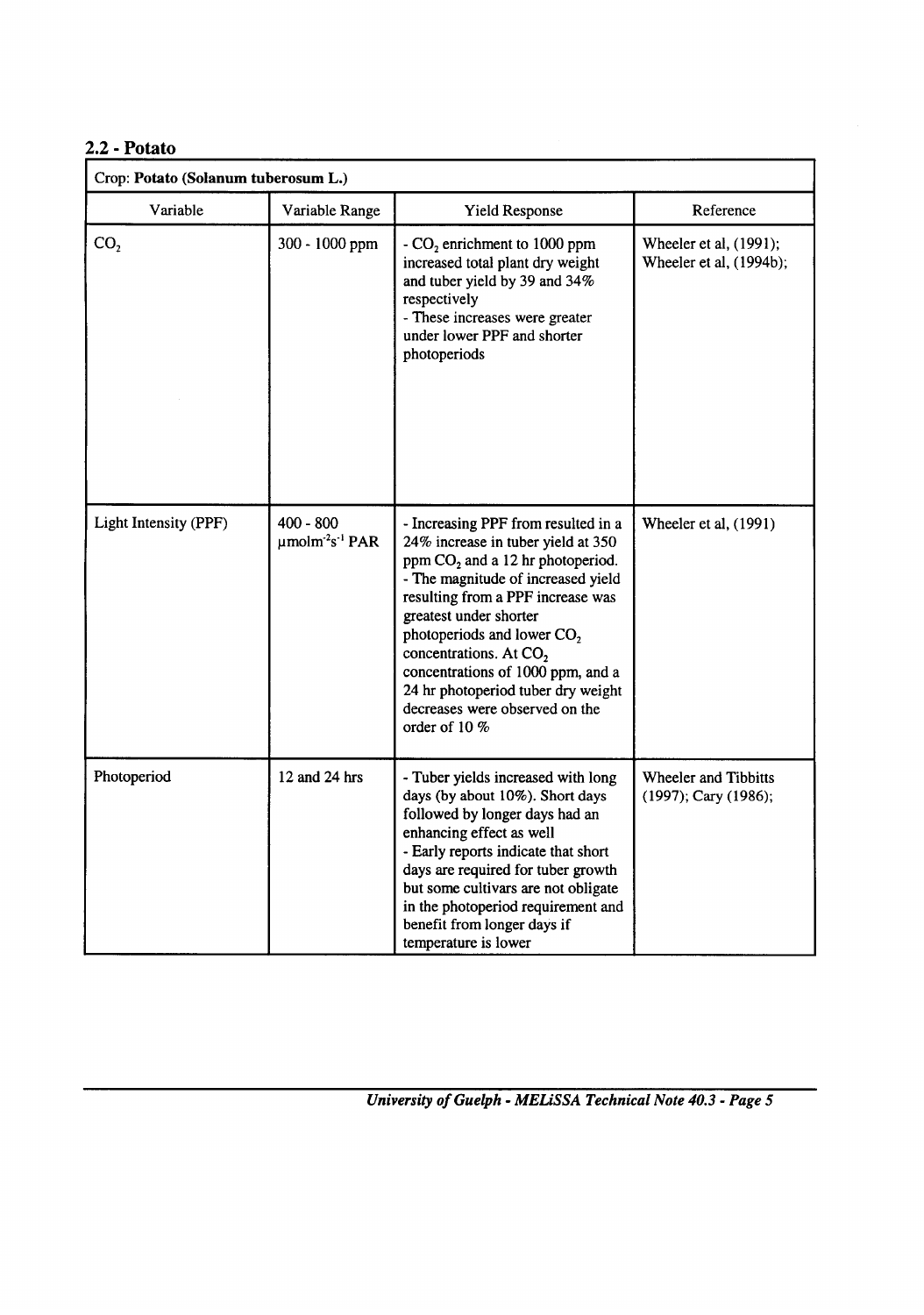# **2.2 - Potato**

| Crop: Potato (Solanum tuberosum L.) |                                                             |                                                                                                                                                                                                                                                                                                                                                                                                                            |                                                   |
|-------------------------------------|-------------------------------------------------------------|----------------------------------------------------------------------------------------------------------------------------------------------------------------------------------------------------------------------------------------------------------------------------------------------------------------------------------------------------------------------------------------------------------------------------|---------------------------------------------------|
| Variable                            | Variable Range                                              | <b>Yield Response</b>                                                                                                                                                                                                                                                                                                                                                                                                      | Reference                                         |
| CO <sub>2</sub>                     | 300 - 1000 ppm                                              | - $CO2$ enrichment to 1000 ppm<br>increased total plant dry weight<br>and tuber yield by 39 and 34%<br>respectively<br>- These increases were greater<br>under lower PPF and shorter<br>photoperiods                                                                                                                                                                                                                       | Wheeler et al, (1991);<br>Wheeler et al, (1994b); |
|                                     |                                                             |                                                                                                                                                                                                                                                                                                                                                                                                                            |                                                   |
| Light Intensity (PPF)               | $400 - 800$<br>$\mu$ molm <sup>-2</sup> s <sup>-1</sup> PAR | - Increasing PPF from resulted in a<br>24% increase in tuber yield at 350<br>ppm $CO2$ and a 12 hr photoperiod.<br>- The magnitude of increased yield<br>resulting from a PPF increase was<br>greatest under shorter<br>photoperiods and lower $CO2$<br>concentrations. At CO <sub>2</sub><br>concentrations of 1000 ppm, and a<br>24 hr photoperiod tuber dry weight<br>decreases were observed on the<br>order of $10\%$ | Wheeler et al, (1991)                             |
| Photoperiod                         | 12 and 24 hrs                                               | - Tuber yields increased with long<br>days (by about 10%). Short days<br>followed by longer days had an<br>enhancing effect as well<br>- Early reports indicate that short<br>days are required for tuber growth<br>but some cultivars are not obligate<br>in the photoperiod requirement and<br>benefit from longer days if<br>temperature is lower                                                                       | Wheeler and Tibbitts<br>(1997); Cary (1986);      |

*- MELiSSA Technical Note 40.3 - Page 5 University of Guelph*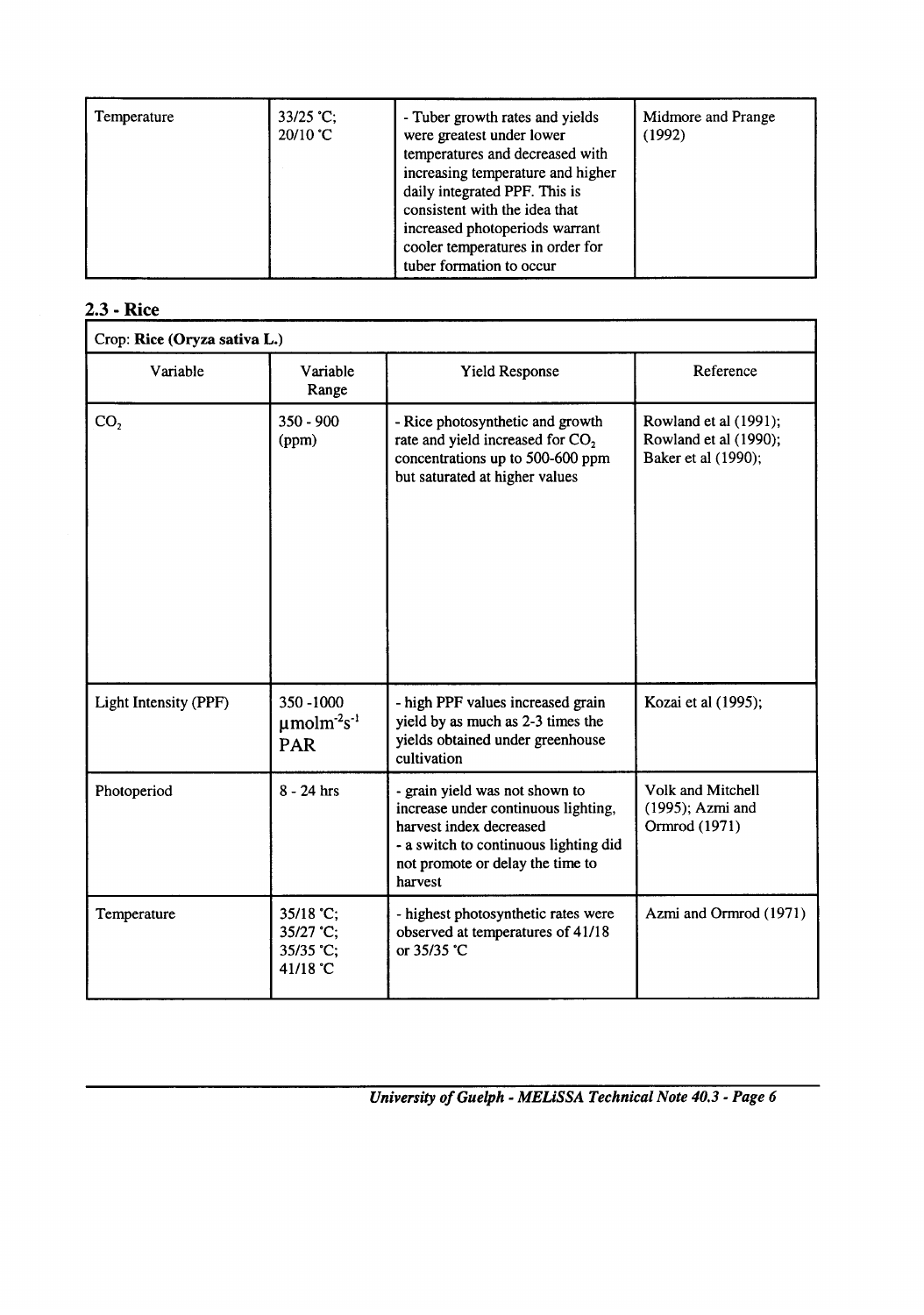### 2.3 - Rice

| Crop: Rice (Oryza sativa L.) |                                                             |                                                                                                                                                                                          |                                                                       |
|------------------------------|-------------------------------------------------------------|------------------------------------------------------------------------------------------------------------------------------------------------------------------------------------------|-----------------------------------------------------------------------|
| Variable                     | Variable<br>Range                                           | <b>Yield Response</b>                                                                                                                                                                    | Reference                                                             |
| CO <sub>2</sub>              | 350 - 900<br>(ppm)                                          | - Rice photosynthetic and growth<br>rate and yield increased for CO <sub>2</sub><br>concentrations up to 500-600 ppm<br>but saturated at higher values                                   | Rowland et al (1991);<br>Rowland et al (1990);<br>Baker et al (1990); |
| Light Intensity (PPF)        | 350-1000<br>$\mu$ molm <sup>-2</sup> s <sup>-1</sup><br>PAR | - high PPF values increased grain<br>yield by as much as 2-3 times the<br>yields obtained under greenhouse<br>cultivation                                                                | Kozai et al (1995);                                                   |
| Photoperiod                  | $8 - 24$ hrs                                                | - grain yield was not shown to<br>increase under continuous lighting,<br>harvest index decreased<br>- a switch to continuous lighting did<br>not promote or delay the time to<br>harvest | Volk and Mitchell<br>(1995); Azmi and<br>Ormrod (1971)                |
| Temperature                  | 35/18 °C;<br>35/27 °C;<br>35/35 °C;<br>41/18 °C             | - highest photosynthetic rates were<br>observed at temperatures of 41/18<br>or 35/35 °C                                                                                                  | Azmi and Ormrod (1971)                                                |

*- MELiSSA Technical Note 40.3 - Page 6 University of Guelph*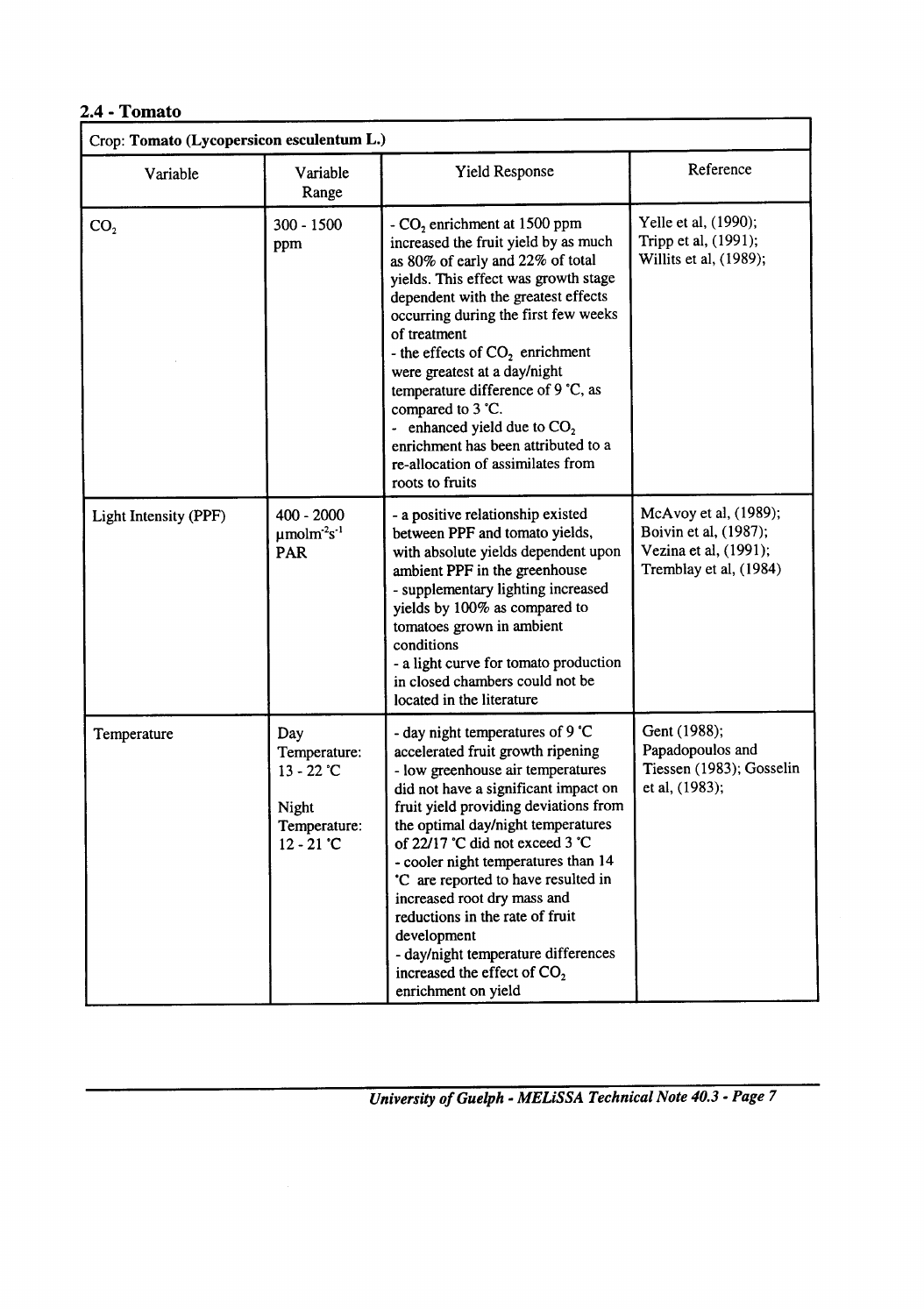### $2.4$  - Tomato

| Crop: Tomato (Lycopersicon esculentum L.) |                                                                                     |                                                                                                                                                                                                                                                                                                                                                                                                                                                                                                                                    |                                                                                                   |
|-------------------------------------------|-------------------------------------------------------------------------------------|------------------------------------------------------------------------------------------------------------------------------------------------------------------------------------------------------------------------------------------------------------------------------------------------------------------------------------------------------------------------------------------------------------------------------------------------------------------------------------------------------------------------------------|---------------------------------------------------------------------------------------------------|
| Variable                                  | Variable<br>Range                                                                   | Yield Response                                                                                                                                                                                                                                                                                                                                                                                                                                                                                                                     | Reference                                                                                         |
| CO <sub>2</sub>                           | 300 - 1500<br>ppm                                                                   | - CO <sub>2</sub> enrichment at 1500 ppm<br>increased the fruit yield by as much<br>as 80% of early and 22% of total<br>yields. This effect was growth stage<br>dependent with the greatest effects<br>occurring during the first few weeks<br>of treatment<br>- the effects of $CO2$ enrichment<br>were greatest at a day/night<br>temperature difference of 9 °C, as<br>compared to 3 °C.<br>- enhanced yield due to $CO2$<br>enrichment has been attributed to a<br>re-allocation of assimilates from<br>roots to fruits        | Yelle et al, (1990);<br>Tripp et al, (1991);<br>Willits et al, (1989);                            |
| Light Intensity (PPF)                     | $400 - 2000$<br>$\mu$ molm <sup>-2</sup> s <sup>-1</sup><br><b>PAR</b>              | - a positive relationship existed<br>between PPF and tomato yields,<br>with absolute yields dependent upon<br>ambient PPF in the greenhouse<br>- supplementary lighting increased<br>yields by 100% as compared to<br>tomatoes grown in ambient<br>conditions<br>- a light curve for tomato production<br>in closed chambers could not be<br>located in the literature                                                                                                                                                             | McAvoy et al, (1989);<br>Boivin et al, (1987);<br>Vezina et al, (1991);<br>Tremblay et al, (1984) |
| Temperature                               | Day<br>Temperature:<br>$13 - 22$ °C<br><b>Night</b><br>Temperature:<br>$12 - 21$ °C | - day night temperatures of 9 °C<br>accelerated fruit growth ripening<br>- low greenhouse air temperatures<br>did not have a significant impact on<br>fruit yield providing deviations from<br>the optimal day/night temperatures<br>of 22/17 °C did not exceed 3 °C<br>- cooler night temperatures than 14<br>'C are reported to have resulted in<br>increased root dry mass and<br>reductions in the rate of fruit<br>development<br>- day/night temperature differences<br>increased the effect of $CO2$<br>enrichment on yield | Gent (1988);<br>Papadopoulos and<br>Tiessen (1983); Gosselin<br>et al, (1983);                    |

*- MELiSSA Technical Note 40.3 - Page 7 University of Guelph* 

٦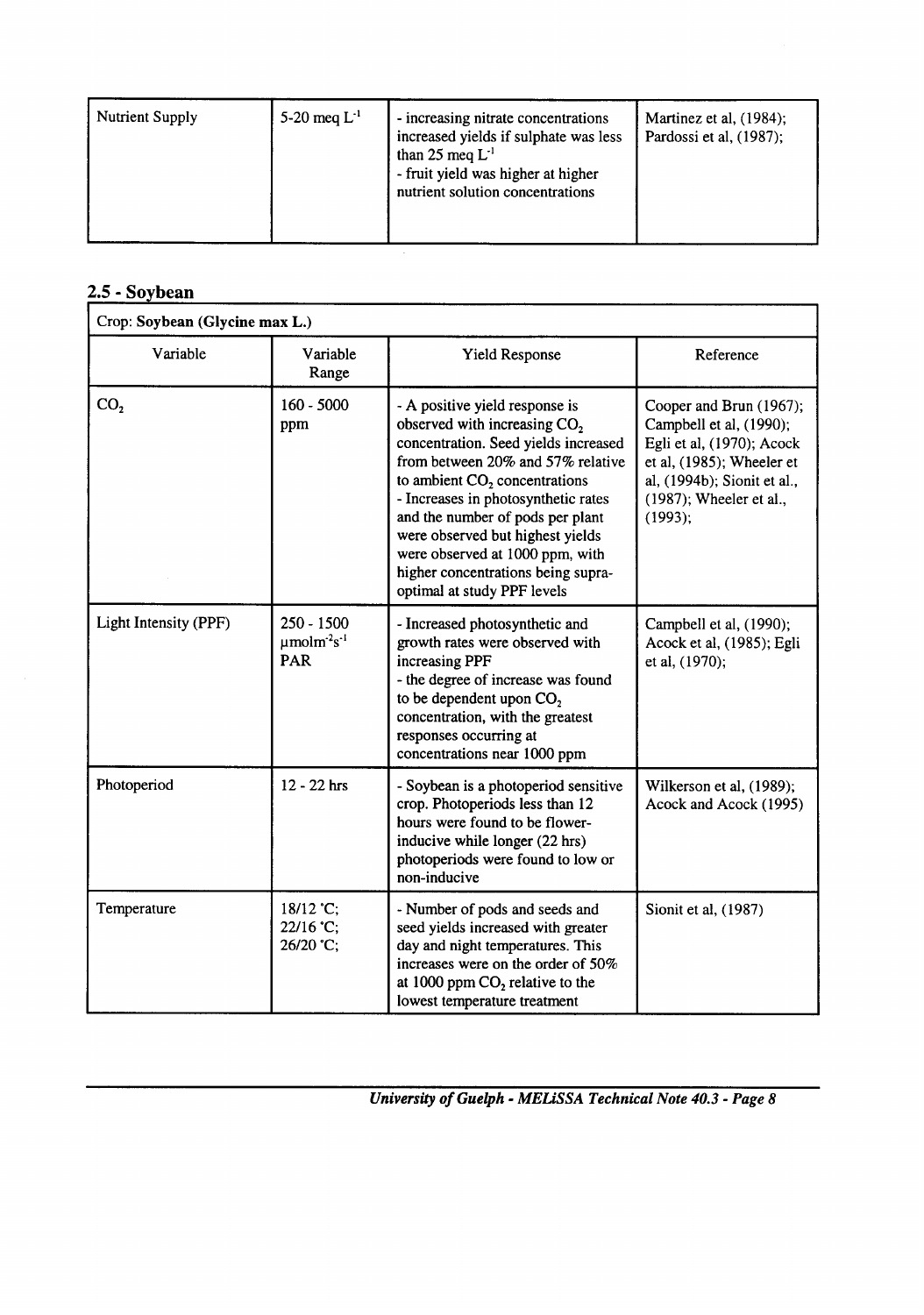| 5-20 meg $L^{-1}$<br>Nutrient Supply<br>- increasing nitrate concentrations<br>increased yields if sulphate was less<br>than 25 meq $L^{-1}$<br>- fruit yield was higher at higher<br>nutrient solution concentrations | Martinez et al, (1984);<br>Pardossi et al, (1987); |
|------------------------------------------------------------------------------------------------------------------------------------------------------------------------------------------------------------------------|----------------------------------------------------|
|------------------------------------------------------------------------------------------------------------------------------------------------------------------------------------------------------------------------|----------------------------------------------------|

# **- Sovbean !.5**

| Crop: Soybean (Glycine max L.) |                                                                 |                                                                                                                                                                                                                                                                                                                                                                                                                   |                                                                                                                                                                                   |
|--------------------------------|-----------------------------------------------------------------|-------------------------------------------------------------------------------------------------------------------------------------------------------------------------------------------------------------------------------------------------------------------------------------------------------------------------------------------------------------------------------------------------------------------|-----------------------------------------------------------------------------------------------------------------------------------------------------------------------------------|
| Variable                       | Variable<br>Range                                               | <b>Yield Response</b>                                                                                                                                                                                                                                                                                                                                                                                             | Reference                                                                                                                                                                         |
| CO <sub>2</sub>                | $160 - 5000$<br>ppm                                             | - A positive yield response is<br>observed with increasing CO <sub>2</sub><br>concentration. Seed yields increased<br>from between 20% and 57% relative<br>to ambient $CO2$ concentrations<br>- Increases in photosynthetic rates<br>and the number of pods per plant<br>were observed but highest yields<br>were observed at 1000 ppm, with<br>higher concentrations being supra-<br>optimal at study PPF levels | Cooper and Brun (1967);<br>Campbell et al, (1990);<br>Egli et al, (1970); Acock<br>et al, (1985); Wheeler et<br>al, (1994b); Sionit et al.,<br>(1987); Wheeler et al.,<br>(1993); |
| Light Intensity (PPF)          | $250 - 1500$<br>$\mu$ molm <sup>-2</sup> s <sup>-1</sup><br>PAR | - Increased photosynthetic and<br>growth rates were observed with<br>increasing PPF<br>- the degree of increase was found<br>to be dependent upon CO <sub>2</sub><br>concentration, with the greatest<br>responses occurring at<br>concentrations near 1000 ppm                                                                                                                                                   | Campbell et al, (1990);<br>Acock et al, (1985); Egli<br>et al, (1970);                                                                                                            |
| Photoperiod                    | 12 - 22 hrs                                                     | - Soybean is a photoperiod sensitive<br>crop. Photoperiods less than 12<br>hours were found to be flower-<br>inducive while longer (22 hrs)<br>photoperiods were found to low or<br>non-inducive                                                                                                                                                                                                                  | Wilkerson et al, (1989);<br>Acock and Acock (1995)                                                                                                                                |
| Temperature                    | 18/12 °C;<br>22/16 °C;<br>26/20 °C;                             | - Number of pods and seeds and<br>seed yields increased with greater<br>day and night temperatures. This<br>increases were on the order of 50%<br>at 1000 ppm $CO2$ relative to the<br>lowest temperature treatment                                                                                                                                                                                               | Sionit et al, (1987)                                                                                                                                                              |

*- MELiSSA Technical Note 40.3 - Page 8 University of Guelph*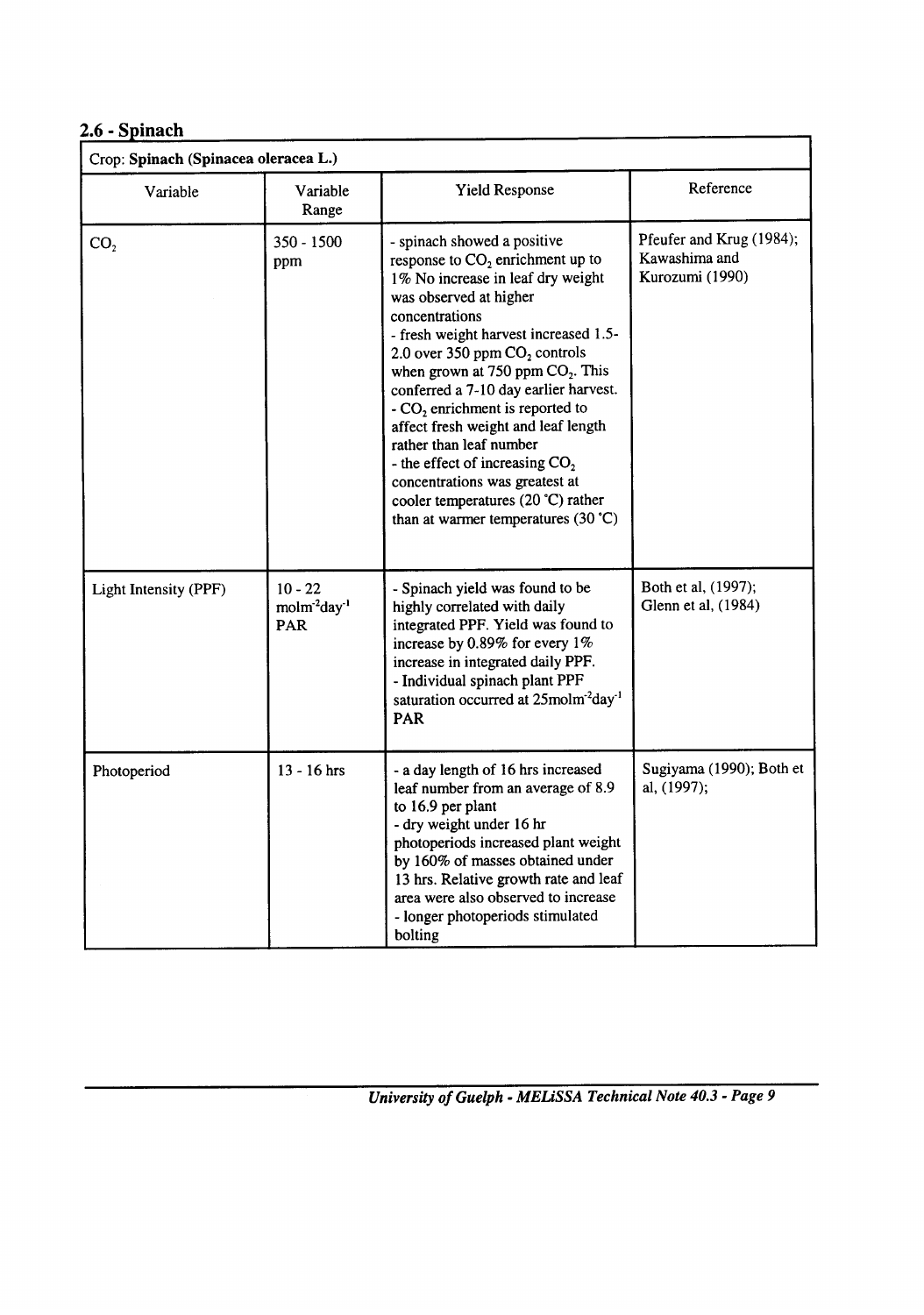# $2.6$  - Spinach

| Crop: Spinach (Spinacea oleracea L.) |                                                          |                                                                                                                                                                                                                                                                                                                                                                                                                                                                                                                                                                                  |                                                              |
|--------------------------------------|----------------------------------------------------------|----------------------------------------------------------------------------------------------------------------------------------------------------------------------------------------------------------------------------------------------------------------------------------------------------------------------------------------------------------------------------------------------------------------------------------------------------------------------------------------------------------------------------------------------------------------------------------|--------------------------------------------------------------|
| Variable                             | Variable<br>Range                                        | <b>Yield Response</b>                                                                                                                                                                                                                                                                                                                                                                                                                                                                                                                                                            | Reference                                                    |
| CO <sub>2</sub>                      | $350 - 1500$<br>ppm                                      | - spinach showed a positive<br>response to $CO2$ enrichment up to<br>1% No increase in leaf dry weight<br>was observed at higher<br>concentrations<br>- fresh weight harvest increased 1.5-<br>2.0 over 350 ppm CO <sub>2</sub> controls<br>when grown at 750 ppm $CO2$ . This<br>conferred a 7-10 day earlier harvest.<br>$-CO2$ enrichment is reported to<br>affect fresh weight and leaf length<br>rather than leaf number<br>- the effect of increasing $CO2$<br>concentrations was greatest at<br>cooler temperatures (20 °C) rather<br>than at warmer temperatures (30 °C) | Pfeufer and Krug (1984);<br>Kawashima and<br>Kurozumi (1990) |
| Light Intensity (PPF)                | $10 - 22$<br>molm <sup>-2</sup> day <sup>-1</sup><br>PAR | - Spinach yield was found to be<br>highly correlated with daily<br>integrated PPF. Yield was found to<br>increase by 0.89% for every 1%<br>increase in integrated daily PPF.<br>- Individual spinach plant PPF<br>saturation occurred at 25molm <sup>-2</sup> day <sup>-1</sup><br><b>PAR</b>                                                                                                                                                                                                                                                                                    | Both et al, (1997);<br>Glenn et al, (1984)                   |
| Photoperiod                          | 13 - 16 hrs                                              | - a day length of 16 hrs increased<br>leaf number from an average of 8.9<br>to 16.9 per plant<br>- dry weight under 16 hr<br>photoperiods increased plant weight<br>by 160% of masses obtained under<br>13 hrs. Relative growth rate and leaf<br>area were also observed to increase<br>- longer photoperiods stimulated<br>bolting                                                                                                                                                                                                                                              | Sugiyama (1990); Both et<br>al, (1997);                      |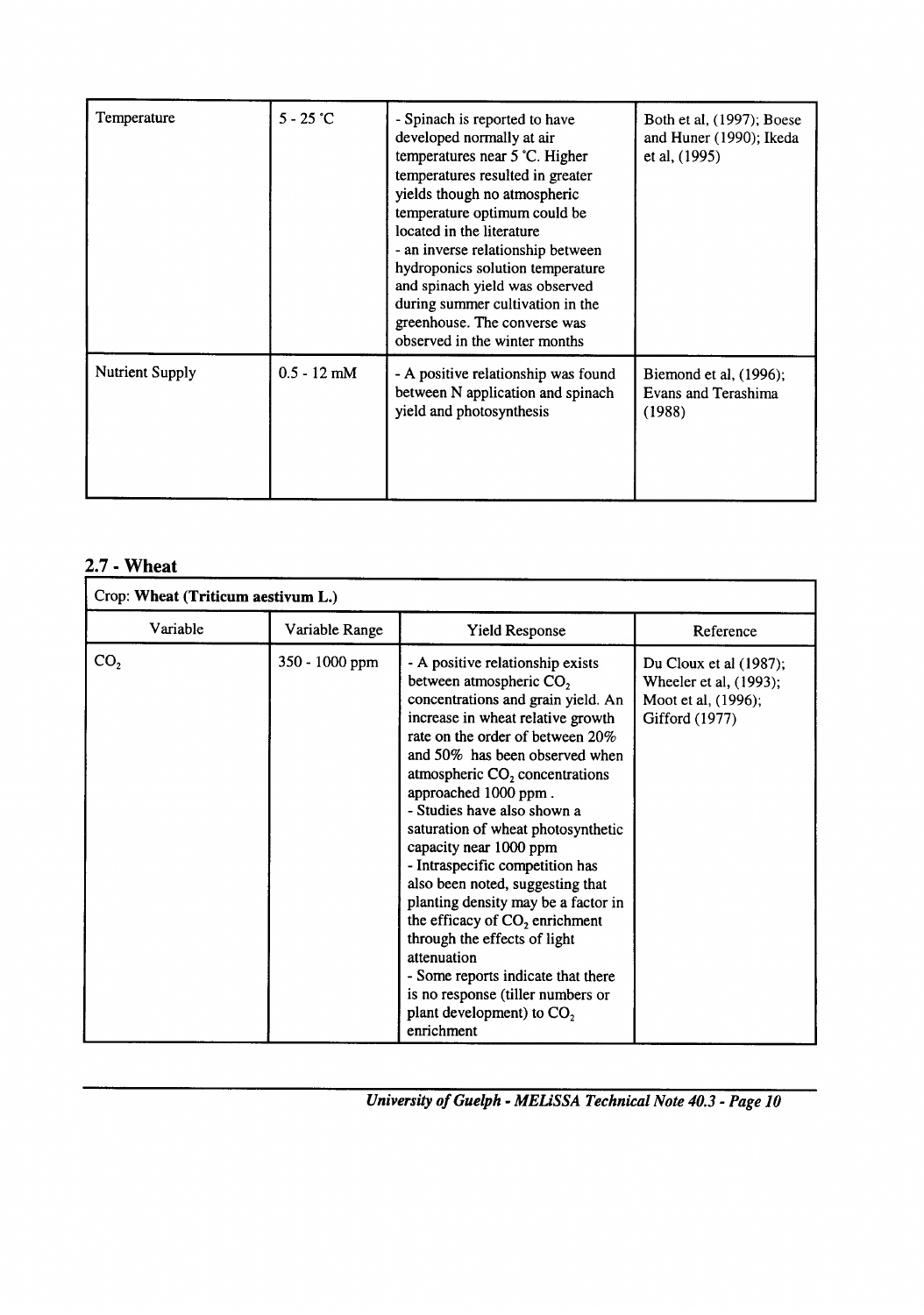| Temperature            | $5 - 25$ °C   | - Spinach is reported to have<br>developed normally at air<br>temperatures near 5 °C. Higher<br>temperatures resulted in greater<br>yields though no atmospheric<br>temperature optimum could be<br>located in the literature<br>- an inverse relationship between<br>hydroponics solution temperature<br>and spinach yield was observed<br>during summer cultivation in the<br>greenhouse. The converse was<br>observed in the winter months | Both et al, (1997); Boese<br>and Huner (1990); Ikeda<br>et al, (1995) |
|------------------------|---------------|-----------------------------------------------------------------------------------------------------------------------------------------------------------------------------------------------------------------------------------------------------------------------------------------------------------------------------------------------------------------------------------------------------------------------------------------------|-----------------------------------------------------------------------|
| <b>Nutrient Supply</b> | $0.5 - 12$ mM | - A positive relationship was found<br>between N application and spinach<br>yield and photosynthesis                                                                                                                                                                                                                                                                                                                                          | Biemond et al, (1996);<br>Evans and Terashima<br>(1988)               |

### **- Wheat 2.7**

| Crop: Wheat (Triticum aestivum L.) |                |                                                                                                                                                                                                                                                                                                                                                                                                                                                                                                                                                                                                                                                                                                                                  |                                                                                           |  |  |  |  |
|------------------------------------|----------------|----------------------------------------------------------------------------------------------------------------------------------------------------------------------------------------------------------------------------------------------------------------------------------------------------------------------------------------------------------------------------------------------------------------------------------------------------------------------------------------------------------------------------------------------------------------------------------------------------------------------------------------------------------------------------------------------------------------------------------|-------------------------------------------------------------------------------------------|--|--|--|--|
| Variable                           | Variable Range | <b>Yield Response</b>                                                                                                                                                                                                                                                                                                                                                                                                                                                                                                                                                                                                                                                                                                            | Reference                                                                                 |  |  |  |  |
| CO <sub>2</sub>                    | 350 - 1000 ppm | - A positive relationship exists<br>between atmospheric CO <sub>2</sub><br>concentrations and grain yield. An<br>increase in wheat relative growth<br>rate on the order of between 20%<br>and 50% has been observed when<br>atmospheric CO <sub>2</sub> concentrations<br>approached 1000 ppm.<br>- Studies have also shown a<br>saturation of wheat photosynthetic<br>capacity near 1000 ppm<br>- Intraspecific competition has<br>also been noted, suggesting that<br>planting density may be a factor in<br>the efficacy of CO <sub>2</sub> enrichment<br>through the effects of light<br>attenuation<br>- Some reports indicate that there<br>is no response (tiller numbers or<br>plant development) to $CO2$<br>enrichment | Du Cloux et al (1987);<br>Wheeler et al, (1993);<br>Moot et al, (1996);<br>Gifford (1977) |  |  |  |  |

*- MELiSSA Technical Note 40.3 - Page 10 University of Guelph*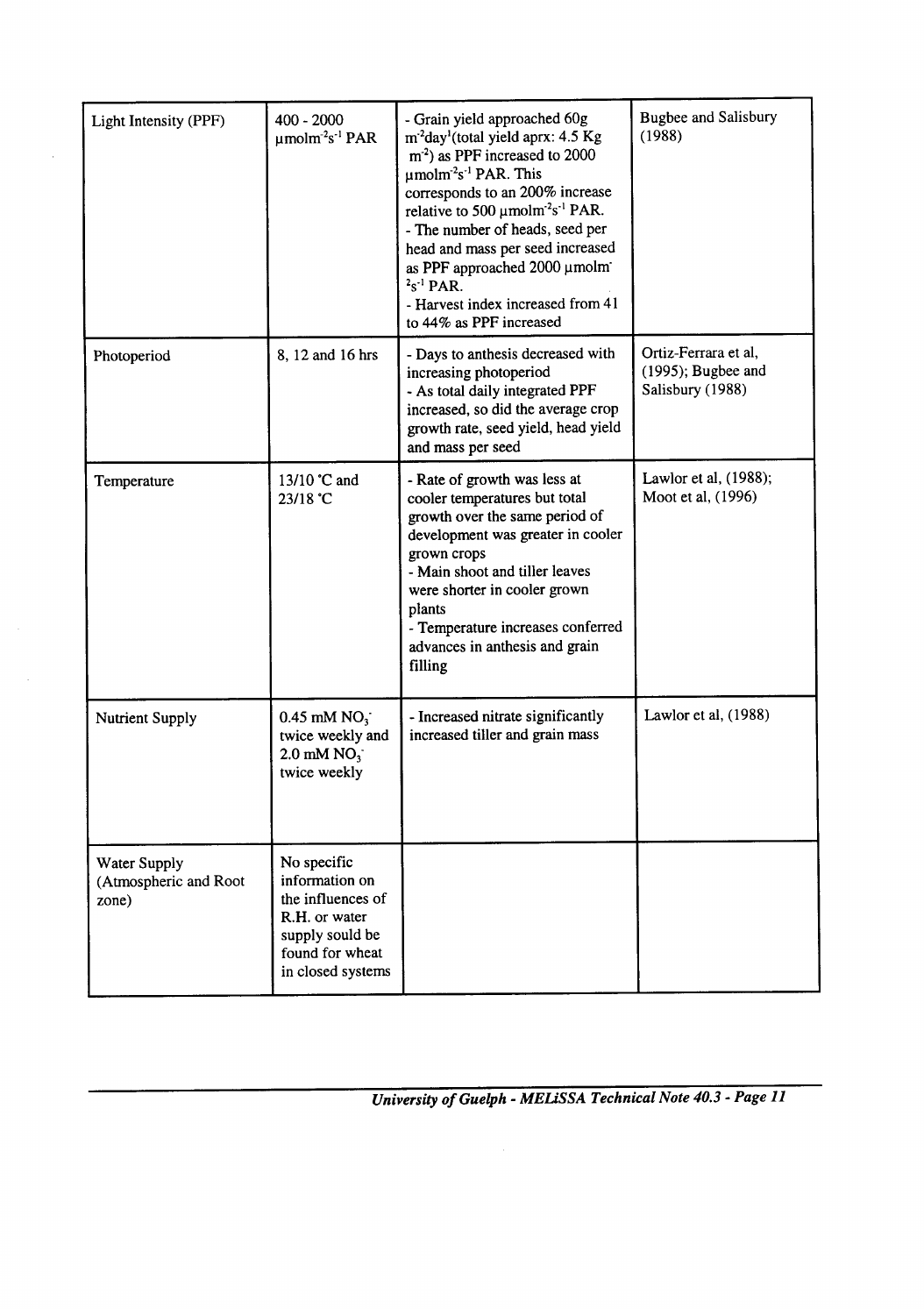| Light Intensity (PPF)                                 | 400 - 2000<br>$\mu$ molm <sup>-2</sup> s <sup>-1</sup> PAR                                                                     | - Grain yield approached 60g<br>m <sup>-2</sup> day <sup>1</sup> (total yield aprx: 4.5 Kg<br>$m2$ ) as PPF increased to 2000<br>$\mu$ molm <sup>-2</sup> s <sup>-1</sup> PAR. This<br>corresponds to an 200% increase<br>relative to 500 $\mu$ molm <sup>-2</sup> s <sup>-1</sup> PAR.<br>- The number of heads, seed per<br>head and mass per seed increased<br>as PPF approached 2000 µmolm<br>$2s^{-1}$ PAR.<br>- Harvest index increased from 41<br>to 44% as PPF increased | <b>Bugbee and Salisbury</b><br>(1988)                             |  |  |
|-------------------------------------------------------|--------------------------------------------------------------------------------------------------------------------------------|----------------------------------------------------------------------------------------------------------------------------------------------------------------------------------------------------------------------------------------------------------------------------------------------------------------------------------------------------------------------------------------------------------------------------------------------------------------------------------|-------------------------------------------------------------------|--|--|
| Photoperiod                                           | 8, 12 and 16 hrs                                                                                                               | - Days to anthesis decreased with<br>increasing photoperiod<br>- As total daily integrated PPF<br>increased, so did the average crop<br>growth rate, seed yield, head yield<br>and mass per seed                                                                                                                                                                                                                                                                                 | Ortiz-Ferrara et al,<br>$(1995)$ ; Bugbee and<br>Salisbury (1988) |  |  |
| Temperature                                           | 13/10 °C and<br>23/18 °C                                                                                                       | - Rate of growth was less at<br>cooler temperatures but total<br>growth over the same period of<br>development was greater in cooler<br>grown crops<br>- Main shoot and tiller leaves<br>were shorter in cooler grown<br>plants<br>- Temperature increases conferred<br>advances in anthesis and grain<br>filling                                                                                                                                                                | Lawlor et al, (1988);<br>Moot et al, (1996)                       |  |  |
| <b>Nutrient Supply</b>                                | $0.45$ mM NO <sub>3</sub><br>twice weekly and<br>$2.0$ mM NO $3$<br>twice weekly                                               | - Increased nitrate significantly<br>increased tiller and grain mass                                                                                                                                                                                                                                                                                                                                                                                                             | Lawlor et al, (1988)                                              |  |  |
| <b>Water Supply</b><br>(Atmospheric and Root<br>zone) | No specific<br>information on<br>the influences of<br>R.H. or water<br>supply sould be<br>found for wheat<br>in closed systems |                                                                                                                                                                                                                                                                                                                                                                                                                                                                                  |                                                                   |  |  |

 $\bar{z}$ 

 $\sim$ 

*- MELiSSA Technical Note 40.3 - Page 11 University of Guelph*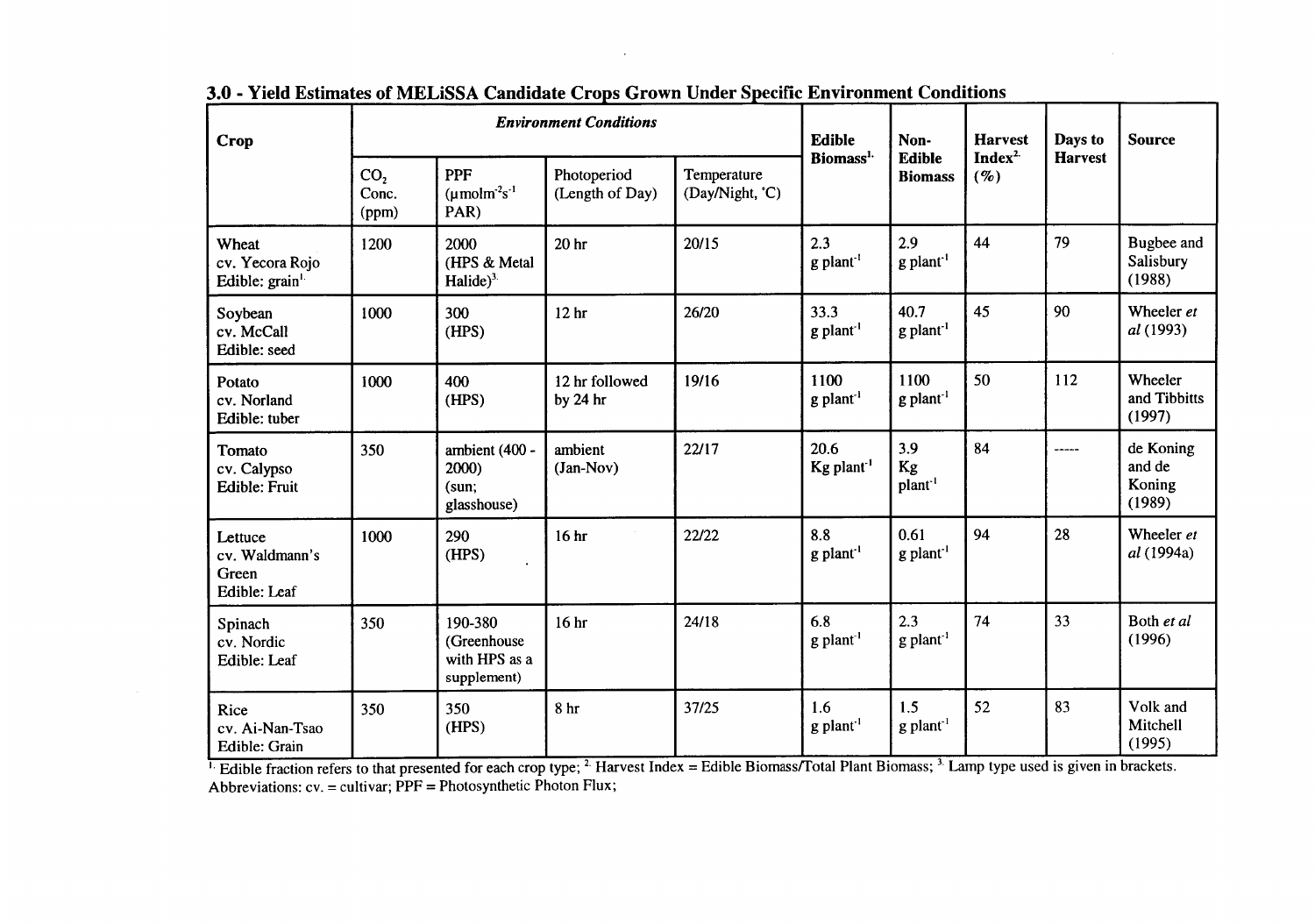| Crop                                                                                                                                                                                                                                                | <b>Environment Conditions</b>     |                                                                   |                                |                                | Edible                           | Non-                            | <b>Harvest</b>                   | Days to        | <b>Source</b>                           |
|-----------------------------------------------------------------------------------------------------------------------------------------------------------------------------------------------------------------------------------------------------|-----------------------------------|-------------------------------------------------------------------|--------------------------------|--------------------------------|----------------------------------|---------------------------------|----------------------------------|----------------|-----------------------------------------|
|                                                                                                                                                                                                                                                     | CO <sub>2</sub><br>Conc.<br>(ppm) | <b>PPF</b><br>$(\mu \text{mol} \text{m}^2 \text{s}^{-1})$<br>PAR) | Photoperiod<br>(Length of Day) | Temperature<br>(Day/Night, °C) | Biomass <sup>1.</sup>            | Edible<br><b>Biomass</b>        | Index <sup>2.</sup><br>$($ % $)$ | <b>Harvest</b> |                                         |
| Wheat<br>cv. Yecora Rojo<br>Edible: grain <sup>1.</sup>                                                                                                                                                                                             | 1200                              | 2000<br>(HPS & Metal<br>Halide $)^3$ .                            | 20 <sub>hr</sub>               | 20/15                          | 2.3<br>$g$ plant <sup>-1</sup>   | 2.9<br>$g$ plant <sup>1</sup>   | 44                               | 79             | Bugbee and<br>Salisbury<br>(1988)       |
| Soybean<br>cv. McCall<br>Edible: seed                                                                                                                                                                                                               | 1000                              | 300<br>(HPS)                                                      | 12 <sub>hr</sub>               | 26/20                          | 33.3<br>g plant <sup>1</sup>     | 40.7<br>g plant <sup>-1</sup>   | 45                               | 90             | Wheeler et<br>al (1993)                 |
| Potato<br>cv. Norland<br>Edible: tuber                                                                                                                                                                                                              | 1000                              | 400<br>(HPS)                                                      | 12 hr followed<br>by $24$ hr   | 19/16                          | 1100<br>g plant <sup>1</sup>     | 1100<br>$g$ plant <sup>-1</sup> | 50                               | 112            | Wheeler<br>and Tibbitts<br>(1997)       |
| Tomato<br>cv. Calypso<br><b>Edible: Fruit</b>                                                                                                                                                                                                       | 350                               | ambient (400 -<br>2000)<br>(sun;<br>glasshouse)                   | ambient<br>(Jan-Nov)           | 22/17                          | 20.6<br>$Kg$ plant <sup>-1</sup> | 3.9<br>Kg<br>plant <sup>1</sup> | 84                               | ------         | de Koning<br>and de<br>Koning<br>(1989) |
| Lettuce<br>cv. Waldmann's<br>Green<br>Edible: Leaf                                                                                                                                                                                                  | 1000                              | 290<br>(HPS)                                                      | 16 <sub>hr</sub>               | 22/22                          | 8.8<br>g plant <sup>1</sup>      | 0.61<br>g plant <sup>1</sup>    | 94                               | 28             | Wheeler et<br>al (1994a)                |
| Spinach<br>cv. Nordic<br>Edible: Leaf                                                                                                                                                                                                               | 350                               | 190-380<br>(Greenhouse<br>with HPS as a<br>supplement)            | 16 <sub>hr</sub>               | 24/18                          | 6.8<br>$g$ plant <sup>1</sup>    | 2.3<br>$g$ plant <sup>-1</sup>  | 74                               | 33             | Both et al<br>(1996)                    |
| Rice<br>cv. Ai-Nan-Tsao<br>Edible: Grain                                                                                                                                                                                                            | 350                               | 350<br>(HPS)                                                      | 8 <sub>hr</sub>                | 37/25                          | 1.6<br>$g$ plant <sup>1</sup>    | 1.5<br>$g$ plant <sup>-1</sup>  | 52                               | 83             | Volk and<br>Mitchell<br>(1995)          |
| Edible fraction refers to that presented for each crop type; <sup>2</sup> Harvest Index = Edible Biomass/Total Plant Biomass; <sup>3</sup> Lamp type used is given in brackets.<br>Abbreviations: cv. = cultivar; PPF = Photosynthetic Photon Flux; |                                   |                                                                   |                                |                                |                                  |                                 |                                  |                |                                         |
|                                                                                                                                                                                                                                                     |                                   |                                                                   |                                |                                |                                  |                                 |                                  |                |                                         |

3.0 - Yield Estimates of MELISSA Candidate Crops Grown Under Specific Environment Conditions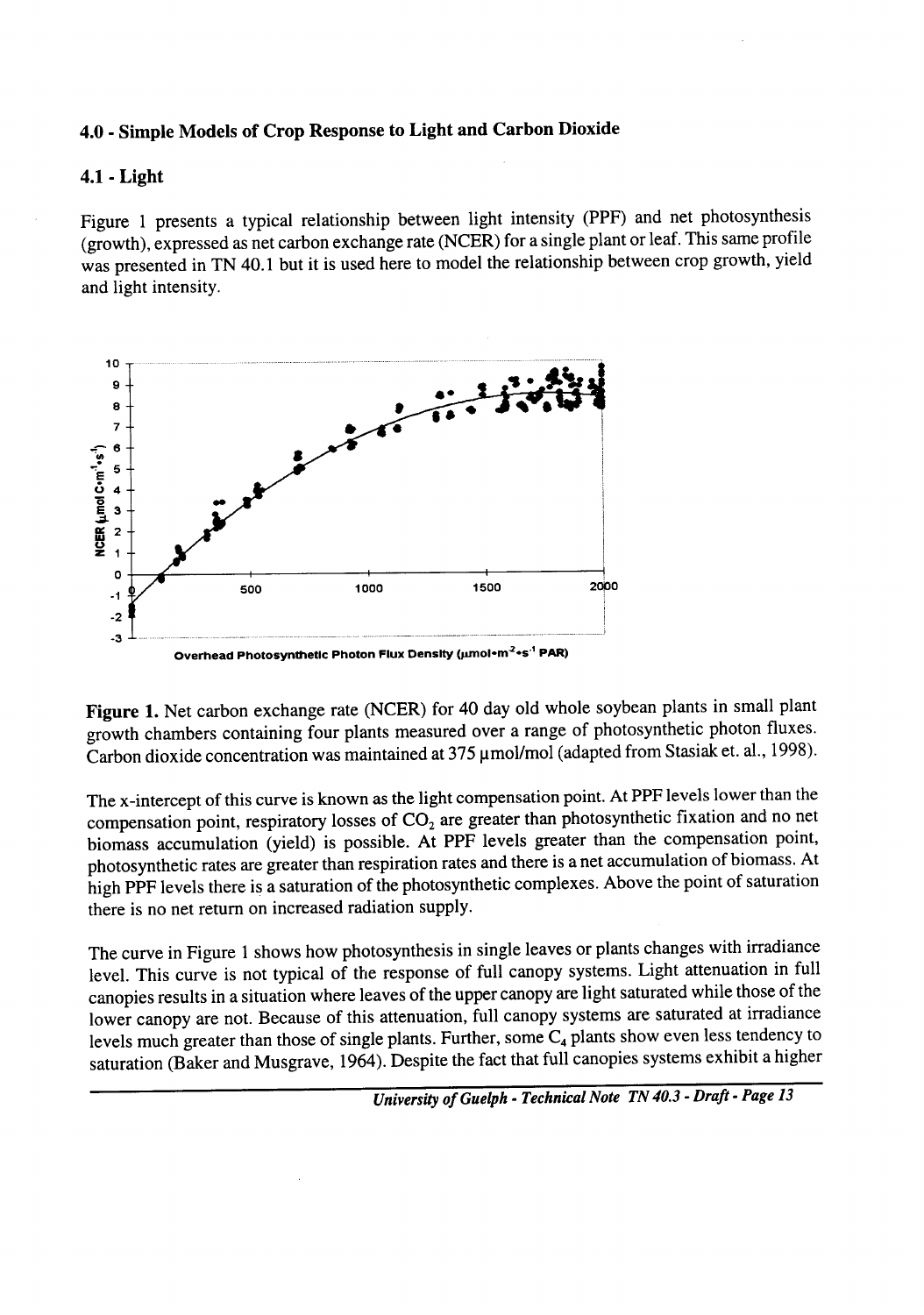#### - **Simple Models of Crop Response to Light and Carbon Dioxide** 4.0

#### **- Light 4.1**

Figure 1 presents a typical relationship between light intensity (PPF) and net photosynthesis (growth), expressed as net carbon exchange rate (NCER) for a single plant or leaf. This same profile was presented in TN 40.1 but it is used here to model the relationship between crop growth, yield and light intensity.



Carbon dioxide concentration was maintained at 375  $\mu$ mol/mol (adapted from Stasiak et. al., 1998) **Figure 1.** Net carbon exchange rate (NCER) for 40 day old whole soybean plants in small plant growth chambers containing four plants measured over a range of photosynthetic photon fluxes.

The x-intercept of this curve is known as the light compensation point. At PPF levels lower than the compensation point, respiratory losses of  $CO<sub>2</sub>$  are greater than photosynthetic fixation and no net biomass accumulation (yield) is possible. At PPF levels greater than the compensation point, photosynthetic rates are greater than respiration rates and there is a net accumulation of biomass. At high PPF levels there is a saturation of the photosynthetic complexes. Above the point of saturation there is no net return on increased radiation supply.

evels much greater than those of single plants. Further, some  $C_4$  plants show even less tendency to saturation (Baker and Musgrave, 1964). Despite the fact that full canopies systems exhibit a higher The curve in Figure 1 shows how photosynthesis in single leaves or plants changes with irradiance level. This curve is not typical of the response of full canopy systems. Light attenuation in full canopies results in a situation where leaves of the upper canopy are light saturated while those of the lower canopy are not. Because of this attenuation, full canopy systems are saturated at irradiance

*- Technical Note TN 40.3 - Draft - Page 13 University of Guelph*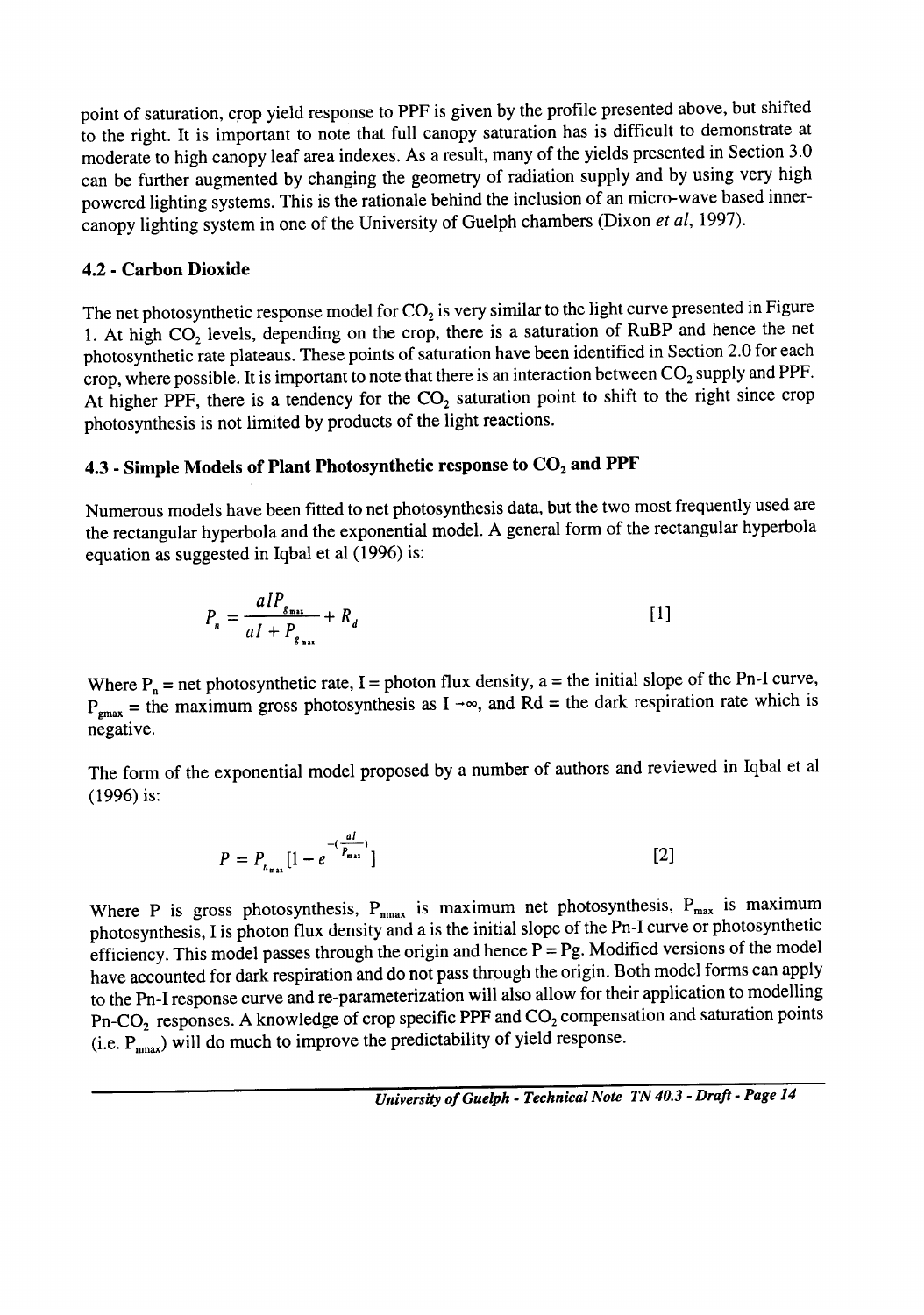owered lighting systems. This is the rationale behind the inclusion of an micro-wave based innercanopy lighting system in one of the University of Guelph chambers (Dixon *et al,* 1997). point of saturation, crop yield response to PPF is given by the profile presented above, but shifted to the right. It is important to note that full canopy saturation has is difficult to demonstrate at moderate to high canopy leaf area indexes. As a result, many of the yields presented in Section 3.0 can be further augmented by changing the geometry of radiation supply and by using very high

#### **- Carbon Dioxide 4.2**

. At high  $CO<sub>2</sub>$  levels, depending on the crop, there is a saturation of RuBP and hence the net photosynthetic rate plateaus. These points of saturation have been identified in Section 2.0 for each crop, where possible. It is important to note that there is an interaction between  $CO_2$  supply and PPF. At higher PPF, there is a tendency for the  $CO<sub>2</sub>$  saturation point to shift to the right since crop photosynthesis is not limited by products of the light reactions. The net photosynthetic response model for  $CO<sub>2</sub>$  is very similar to the light curve presented in Figure

#### $1.3$  - Simple Models of Plant Photosynthetic response to  $\mathrm{CO}_2$  and PPI

Numerous models have been fitted to net photosynthesis data, but the two most frequently used are the rectangular hyperbola and the exponential model. A general form of the rectangular hyperbola equation as suggested in Iqbal et al (1996) is:

$$
P_n = \frac{aIP_{g_{\text{max}}}}{aI + P_{g_{\text{max}}}} + R_d
$$
 [1]

 $P_{\text{grav}}$  = the maximum gross photosynthesis as I  $-\infty$ , and Rd = the dark respiration rate which is negative. Where  $P_n$  = net photosynthetic rate, I = photon flux density, a = the initial slope of the Pn-I curve,

The form of the exponential model proposed by a number of authors and reviewed in Iqbal et a (1996) is:

$$
P = P_{n_{\max}} \left[ 1 - e^{-\left(\frac{aI}{P_{\max}}\right)} \right]
$$
 [2]

(i.e.  $P_{\text{max}}$ ) will do much to improve the predictability of yield response. Where P is gross photosynthesis,  $P_{nmax}$  is maximum net photosynthesis,  $P_{max}$  is maximum photosynthesis, I is photon flux density and a is the initial slope of the Pn-I curve or photosynthetic efficiency. This model passes through the origin and hence  $P = Pg$ . Modified versions of the model have accounted for dark respiration and do not pass through the origin. Both model forms can apply to the Pn-I response curve and re-parameterization will also allow for their application to modelling Pn-CO<sub>2</sub> responses. A knowledge of crop specific PPF and CO<sub>2</sub> compensation and saturation points

*- Technical Note TN 40.3 - Draft - Page 14 University of Guelph*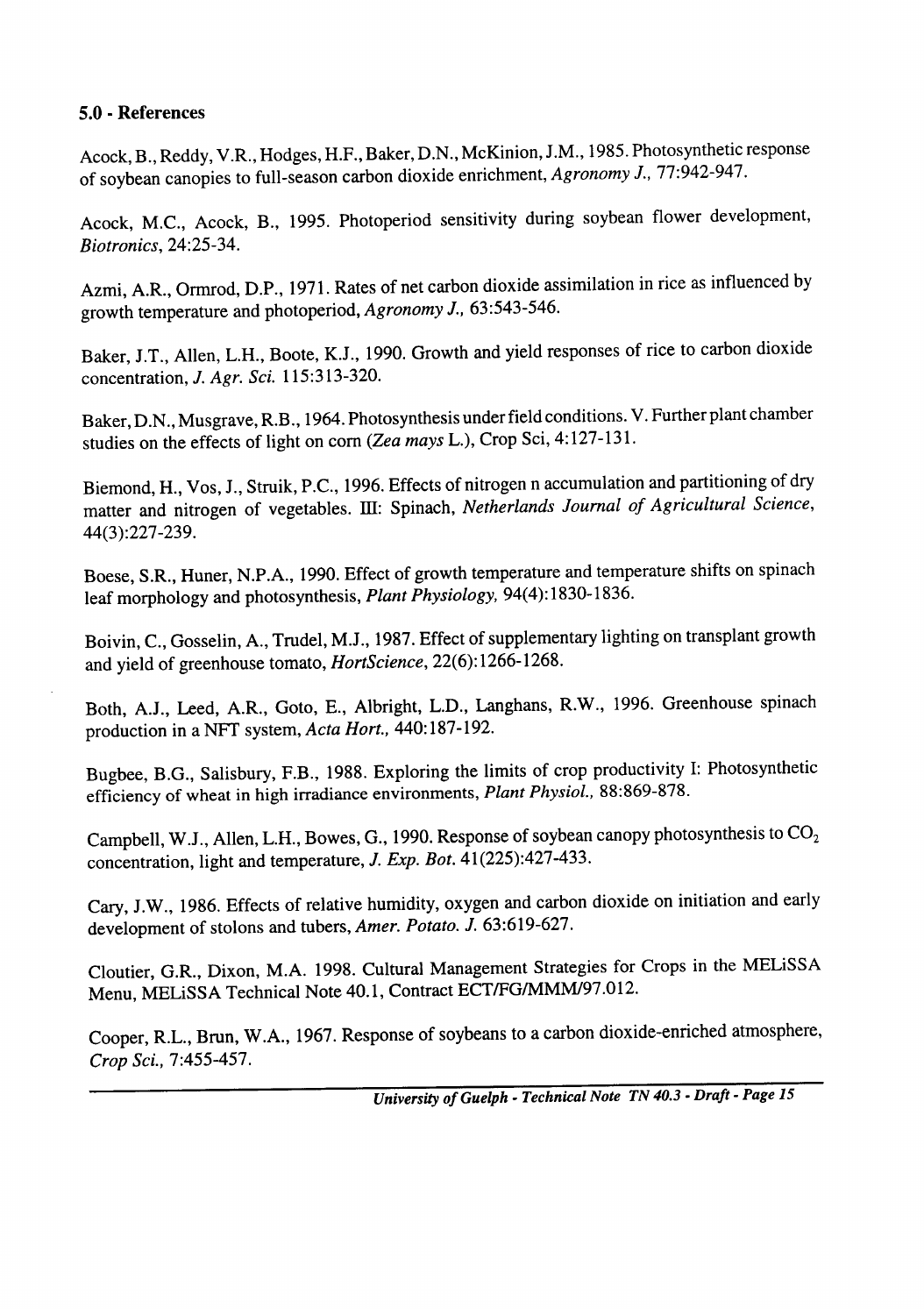### **5.0 - References**

f soybean canopies to full-season carbon dioxide enrichment, *Agronomy J., <sup>77</sup>:942-947.* cock, B., Reddy, V.R., Hodges, H.F., Baker, D.N., McKinion, J.M., 1985. Photosynthetic response

*24125-34. Biotronics,*  cock, M.C., Acock, B., 1995. Photoperiod sensitivity during soybean flower develop

rowth temperature and photoperiod, *Agronomy J.*, 63:543-546. Azmi, A.R., Ormrod, D.P., 1971. Rates of net carbon dioxide assimilation in rice as influenced by

115:3 13-320. concentration, *J. Agr. Sci.*  Baker, J.T., Allen, L.H., Boote, K.J., 1990. Growth and yield responses of rice to carbon dioxide

tudies on the effects of light on corn (Zea *mays L.*), Crop Sci,  $4:127-131$ . Baker, D.N., Musgrave, R.B., 1964. Photosynthesis under field conditions. V. Further plant chamber

*44(3):227-239.* hatter and nitrogen of vegetables. III: Spinach, *Netherlands Journal of Agricultural Scien* Biemond, H., Vos, J., Struik, P.C., 1996. Effects of nitrogen n accumulation and partitioning of dry

eaf morphology and photosynthesis, *Plant Physiology*, 94(4):1830-1836. Boese, S.R., Huner, N.P.A., 1990. Effect of growth temperature and temperature shifts on spinach

nd yield of greenhouse tomato, *HortScience*, 22(6):1266-1268. Boivin, C., Gosselin, A., Trudel, M.J., 1987. Effect of supplementary lighting on transplant growth

broduction in a NFT system, *Acta Hort.*, 440:187-192. Both, A.J., Leed, A.R., Goto, E., Albright, L.D., Langhans, R.W., 1996. Greenhouse spi

*88:869-878.* efficiency of wheat in high irradiance environments, *Plant Physiol.,*  Bugbee, B.G., Salisbury, F.B., 1988. Exploring the limits of crop productivity I: Photosynthetic

concentration, light and temperature, *J. Exp. Bot.* 41(225):427-433. Campbell, W.J., Allen, L.H., Bowes, G., 1990. Response of soybean canopy photosynthesis to CO,

development of stolons and tubers, *Amer. Potato. J.* 63:619-627. Cary, J.W., 1986. Effects of relative humidity, oxygen and carbon dioxide on initiation and early

Menu, MELiSSA Technical Note 40.1, Contract ECT/FG/MMM/97.012. Cloutier, G.R., Dixon, M.A. 1998. Cultural Management Strategies for Crops in the MELISSA

**71455-457.** *Crop Sci.,*  Cooper, R.L., Brun, W.A., 1967. Response of soybeans to a carbon dioxide-enriched atmosphere,

*- Technical Note TN 40.3 - Draft - Page 15 University of Guelph*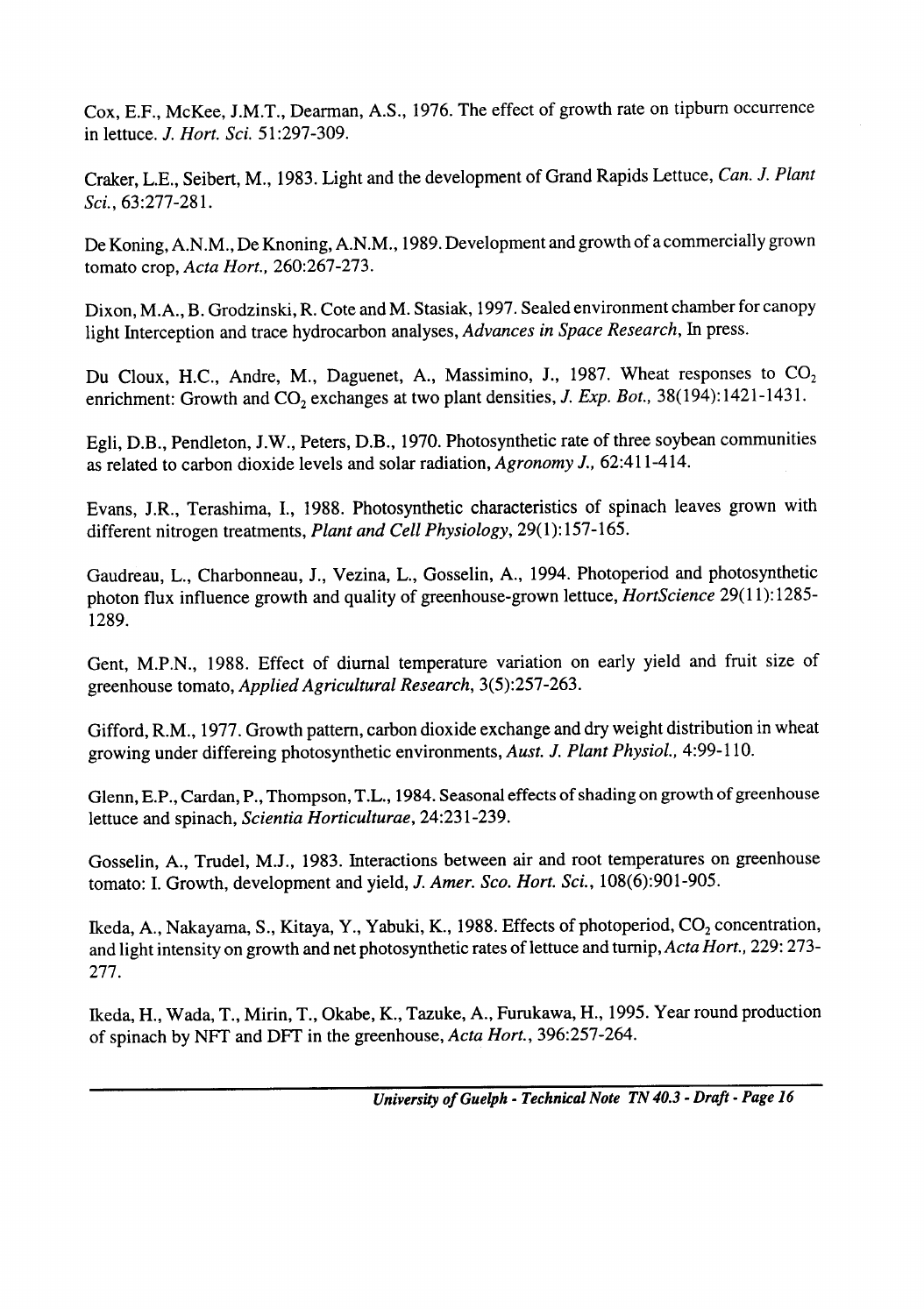n lettuce. *J. Hort. Sci.* 51:297-309. Cox, E.F., McKee, J.M.T., Dearman, A.S., 1976. The effect of growth rate on tipburn occurrence

*63:277-28* 1. *Sci.,*  Craker, L.E., Seibert, M., 1983. Light and the development of Grand Rapids Lettuce, *Can. J. Plant*

*amato crop, Acta Hort., 260:267-273.* De Koning, A.N.M., De Knoning, A.N.M., 1989. Development and growth of a commercially grown

Dixon, M.A., B. Grodzinski, R. Cote and M. Stasiak, 1997. Sealed environment chamber for canopy light Interception and trace hydrocarbon analyses, *Advances in Space Research, In* press.

enrichment: Growth and CO<sub>2</sub> exchanges at two plant densities, *J. Exp. Bot.*, 38(194):1421-1431 Du Cloux, H.C., Andre, M., Daguenet, A., Massimino, J., 1987. Wheat responses to CO<sub>2</sub>

*62:41 l-4 14.* as related to carbon dioxide levels and solar radiation, *Agronomy J.,*  Egli, D.B., Pendleton, J.W., Peters, D.B., 1970. Photosynthetic rate of three soybean communities

lifferent nitrogen treatments, *Plant and Cell Physiology*, 29(1):157-165 Evans, J.R., Terashima, I., 1988. Photosynthetic characteristics of spinach leaves grown with

bhoton flux influence growth and quality of greenhouse-grown lettuce, *HortScience* 29(11):1285-1289. Gaudreau, L., Charbonneau, J., Vezina, L., Gosselin, A., 1994. Photoperiod and photosynthetic

*3(5):257-263.* greenhouse tomato, *Applied Agricultural Research,*  Gent, M.P.N., 1988. Effect of diurnal temperature variation on early yield and fruit size of

4:99-l 10. *Physiol.,* growing under differeing photosynthetic environments, *Aust. J. Plant*  Gifford, R.M., 1977. Growth pattern, carbon dioxide exchange and dry weight distribution in wheat

*24:23 l-239. Horticulturae,* lettuce and spinach, *Scientia*  Glenn, E.P., Cardan, P., Thompson, T.L., 1984. Seasonal effects of shading on growth of greenhou

tomato: I. Growth, development and yield, *J. Amer. Sco. Hort. Sci.*, 108(6):901-905 Gosselin, A., Trudel, M.J., 1983. Interactions between air and root temperatures on greenhouse

*Actu Hort., 229: 273-* and light intensity on growth and net photosynthetic rates of lettuce and turnip, *277.* Ikeda, A., Nakayama, S., Kitaya, Y., Yabuki, K., 1988. Effects of photoperiod, CO, concentration,

of spinach by NFT and DFT in the greenhouse, *Acta Hort*., 396:257-264 Ikeda, H., Wada, T., Mirin, T., Okabe, K., Tazuke, A., Furukawa, H., 1995. Year round productioi

University of Guelph - Technical Note TN 40.3 - Draft - Page 10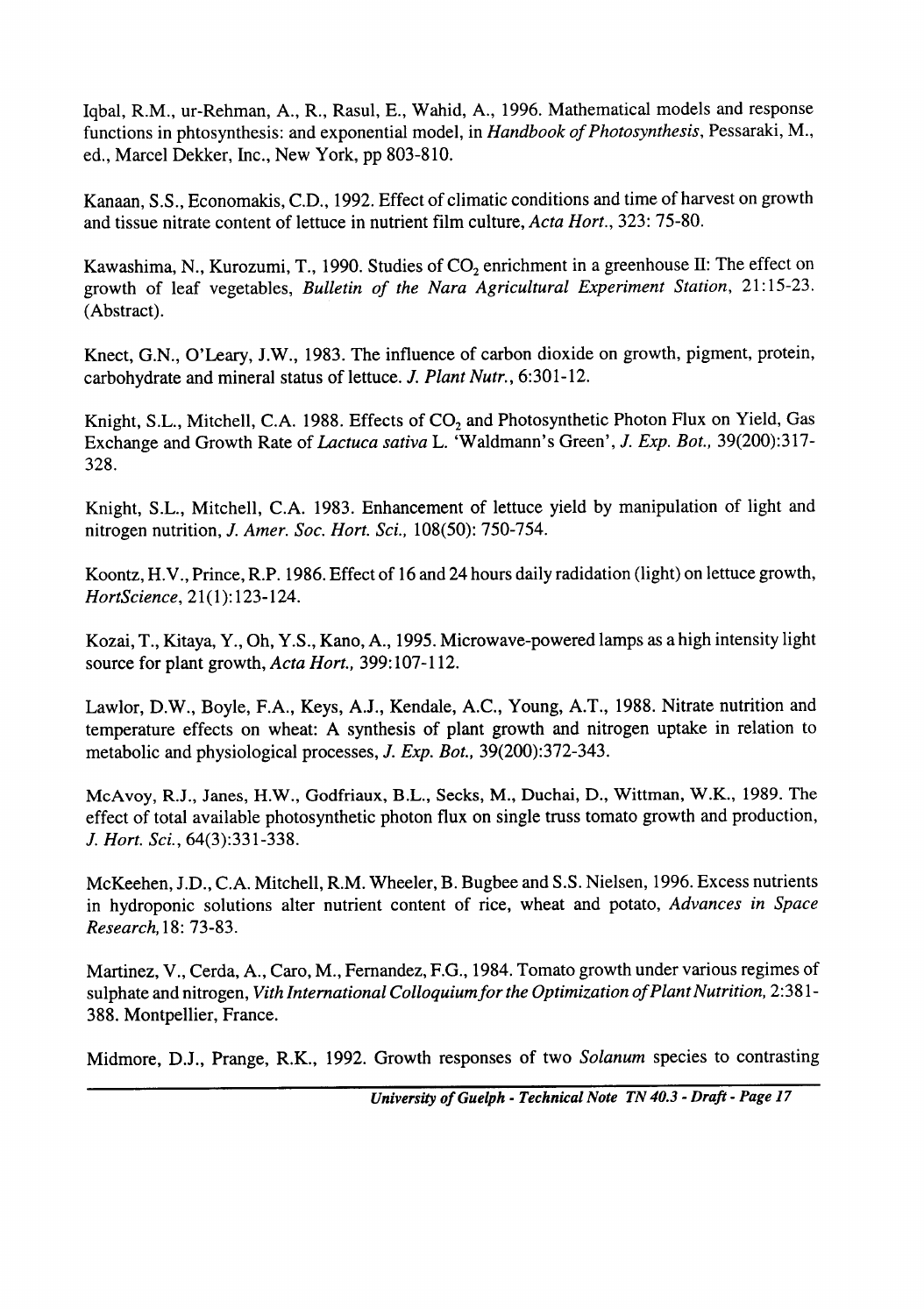Iqbal, R.M., ur-Rehman, A., R., Rasul, E., Wahid, A., 1996. Mathematical models and response functions in phtosynthesis: and exponential model, in *Handbook of Photosynthesis,* Pessaraki, M., ed., Marcel Dekker, Inc., New York, pp 803-810.

*Hart., 323: 75-80. Acta* and tissue nitrate content of lettuce in nutrient film culture, Kanaan, S.S., Economakis, C.D., 1992. Effect of climatic conditions and time of harvest on growth

Kawashima, N., Kurozumi, T., 1990. Studies of  $CO_2$  enrichment in a greenhouse II: The effect on growth of leaf vegetables, *Bulletin of the Nara Agricultural Experiment Station, 21: 15-23.* (Abstract).

6:301-12. *Plant Nutr.,* carbohydrate and mineral status of lettuce. *J.*  Knect, G.N., O'Leary, J.W., 1983. The influence of carbon dioxide on growth, pigment, protein,

Bat., 39(200):317- Exchange and Growth Rate of *Lactuca sativa* L. 'Waldmann's Green', *J. Exp. Bot., 39(200):317-328.* Knight, S.L., Mitchell, C.A. 1988. Effects of CO, and Photosynthetic Photon Flux on Yield, Gas

*108(50): 750-754. Sot. Hart. Sci.,*  nitrogen nutrition, *J. Amer.*  Knight, S.L., Mitchell, C.A. 1983. Enhancement of lettuce yield by manipulation of light and

*21(1):123-124. HortScience,*  Koontz, H.V., Prince, R.P. 1986. Effect of 16 and 24 hours daily radidation (light) on lettuce growth,

*Hart., 399:* 107-l 12. *Actu* source for plant growth, Kozai, T., Kitaya, Y., Oh, Y.S., Kano, A., 1995. Microwave-powered lamps as a high intensity light

*Bat., 39(200):372-343.* metabolic and physiological processes, *J. Exp.*  Lawlor, D.W., Boyle, F.A., Keys, A.J., Kendale, A.C., Young, A.T., 1988. Nitrate nutrition a temperature effects on wheat: A synthesis of plant growth and nitrogen uptake in relation to

*Hart. Sci., 64(3):33 l-338. J.*  McAvoy, R.J., Janes, H.W., Godfriaux, B.L., Secks, M., Duchai, D., Wittman, W.K., 1989. effect of total available photosynthetic photon flux on single truss tomato growth and production,

McKeehen, J.D., C.A. Mitchell, R.M. Wheeler, B. Bugbee and S.S. Nielsen, 1996. Excess nutrients in hydroponic solutions alter nutrient content of rice, wheat and potato, *Advances in Space Research, 18: 73-83.*

sulphate and nitrogen, *Vith International Colloquium for the Optimization of Plant Nutrition, 2:38*1-*388.* Montpellier, France. Martinez, V., Cerda, A., Caro, M., Fernandez, F.G., 1984. Tomato growth under various regimes of

Midmore, D.J., Prange, R.K., 1992. Growth responses of two *Solanum* species to contrasti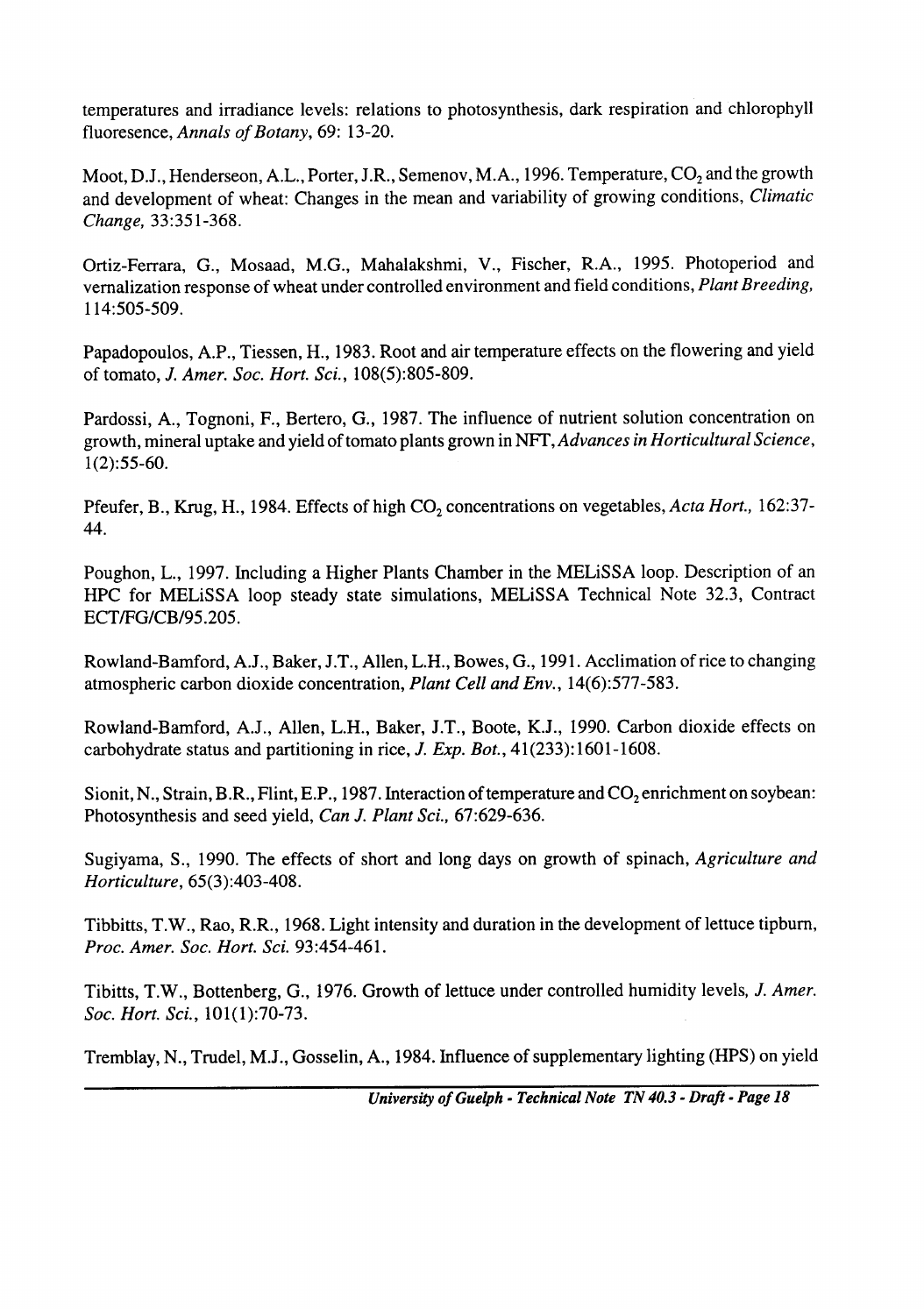fluoresence, *Annals of Botany, 69: 13-20.* temperatures and irradiance levels: relations to photosynthesis, dark respiration and chlorophyll

*33:35 l-368. Change,*  Moot, D.J., Henderseon, A.L., Porter, J.R., Semenov, M.A., 1996. Temperature, CO<sub>2</sub> and the growth and development of wheat: Changes in the mean and variability of growing conditions, *Climatic*

114:505-509. Ortiz-Ferrara, G., Mosaad, M.G., Mahalakshmi, V., Fischer, R.A., 1995. Photoperiod and vernalization response of wheat under controlled environment and field conditions, *Plant Breeding,*

*108(5):805-809. Sot. Hart. Sci.,*  of tomato, *J. Amer.*  Papadopoulos, A.P., Tiessen, H., 1983. Root and air temperature effects on the flowering and yield

*1(2):55-60.* growth, mineral uptake and yield of tomato plants grown in NFT, *Advances in Horticultural Science* Pardossi, A., Tognoni, F., Bertero, G., 1987. The influence of nutrient solution concentration on

Pfeufer, B., Krug, H., 1984. Effects of high CO<sub>2</sub> concentrations on vegetables, *Actu Hort.*, 102.37-44.

ECT/FG/CB/95.205. Poughon, L., 1997. Including a Higher Plants Chamber in the MELiSSA loop. Description of an HPC for MELiSSA loop steady state simulations, MELiSSA Technical Note 32.3, Contract

*14(6):577-583. Plant Cell and Env.,*  atmospheric carbon dioxide concentration, Rowland-Bamford, A.J., Baker, J.T., Allen, L.H., Bowes, G., 1991. Acclimation of rice to changing

carbohydrate status and partitioning in rice, *J. Exp. Bot.*, 41(233):1001-1008. Rowland-Bamford, A.J., Allen, L.H., Baker, J.T., Boote, K.J., 1990. Carbon dioxide effects on

*67:629-636. Plant Sci.,*  Photosynthesis and seed yield, *Can J.*  Sionit, N., Strain, B.R., Flint, E.P., 1987. Interaction of temperature and  $CO<sub>2</sub>$  enrichment on soybean:

*65(3):403-408. Horticulture,*  Sugiyama, S., 1990. The effects of short and long days on growth of spinach, *Agriculture and*

*93:454-46* 1. *Proc. Amer. Sot. Hart. Sci.*  Tibbitts, T.W., Rao, R.R., 1968. Light intensity and duration in the development of lettuce upburn

*101(1):70-73. Sot. Hart. Sci.,*  Tibitts, T.W., Bottenberg, G., 1976. Growth of lettuce under controlled humidity levels, *J. Amer.*

Tremblay, N., Trudel, M.J., Gosselin, A., 1984. Influence of supplementary lighting (HPS) on yield